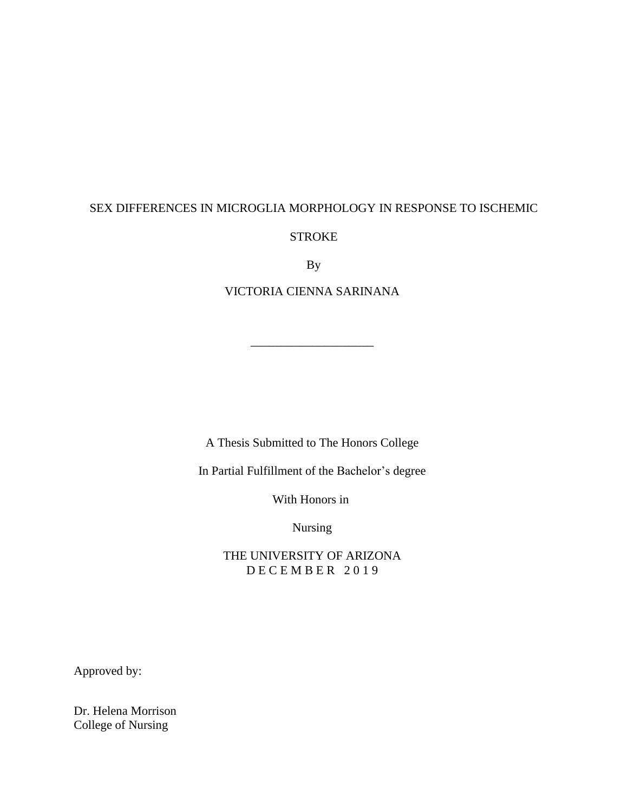# SEX DIFFERENCES IN MICROGLIA MORPHOLOGY IN RESPONSE TO ISCHEMIC STROKE

By

VICTORIA CIENNA SARINANA

\_\_\_\_\_\_\_\_\_\_\_\_\_\_\_\_\_\_\_\_

A Thesis Submitted to The Honors College

In Partial Fulfillment of the Bachelor's degree

With Honors in

Nursing

THE UNIVERSITY OF ARIZONA DECEMBER 2019

Approved by:

Dr. Helena Morrison College of Nursing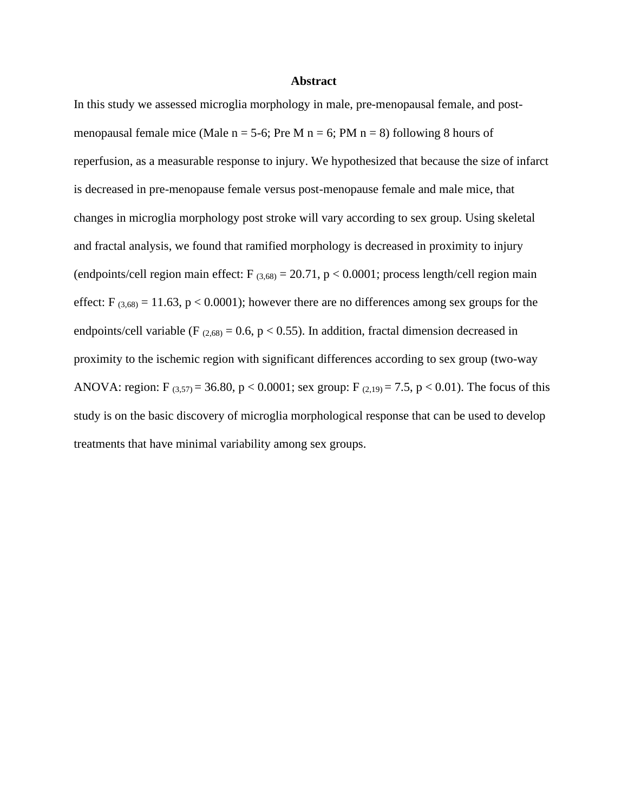#### **Abstract**

In this study we assessed microglia morphology in male, pre-menopausal female, and postmenopausal female mice (Male  $n = 5-6$ ; Pre M  $n = 6$ ; PM  $n = 8$ ) following 8 hours of reperfusion, as a measurable response to injury. We hypothesized that because the size of infarct is decreased in pre-menopause female versus post-menopause female and male mice, that changes in microglia morphology post stroke will vary according to sex group. Using skeletal and fractal analysis, we found that ramified morphology is decreased in proximity to injury (endpoints/cell region main effect:  $F_{(3,68)} = 20.71$ ,  $p < 0.0001$ ; process length/cell region main effect:  $F_{(3,68)} = 11.63$ ,  $p < 0.0001$ ); however there are no differences among sex groups for the endpoints/cell variable (F  $_{(2,68)} = 0.6$ , p < 0.55). In addition, fractal dimension decreased in proximity to the ischemic region with significant differences according to sex group (two-way ANOVA: region: F  $_{(3,57)} = 36.80$ , p < 0.0001; sex group: F  $_{(2,19)} = 7.5$ , p < 0.01). The focus of this study is on the basic discovery of microglia morphological response that can be used to develop treatments that have minimal variability among sex groups.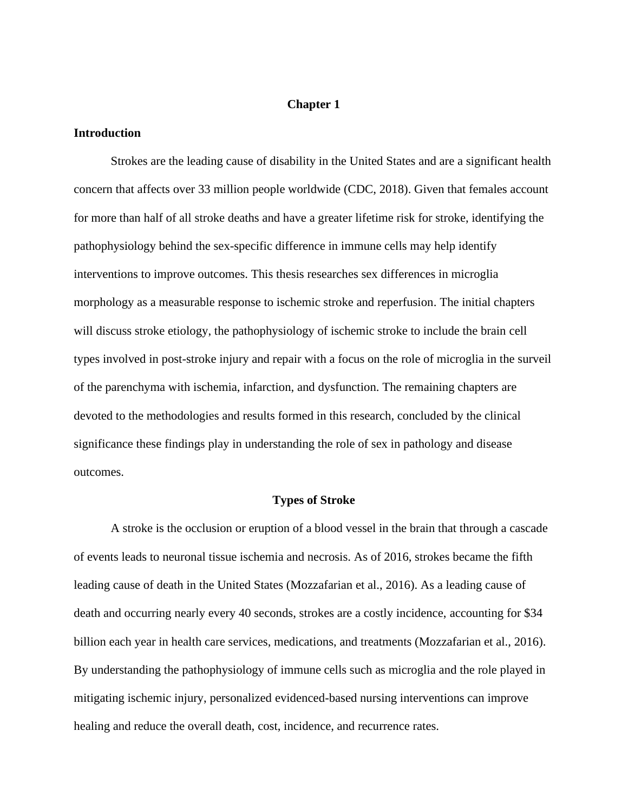## **Chapter 1**

## **Introduction**

Strokes are the leading cause of disability in the United States and are a significant health concern that affects over 33 million people worldwide (CDC, 2018). Given that females account for more than half of all stroke deaths and have a greater lifetime risk for stroke, identifying the pathophysiology behind the sex-specific difference in immune cells may help identify interventions to improve outcomes. This thesis researches sex differences in microglia morphology as a measurable response to ischemic stroke and reperfusion. The initial chapters will discuss stroke etiology, the pathophysiology of ischemic stroke to include the brain cell types involved in post-stroke injury and repair with a focus on the role of microglia in the surveil of the parenchyma with ischemia, infarction, and dysfunction. The remaining chapters are devoted to the methodologies and results formed in this research, concluded by the clinical significance these findings play in understanding the role of sex in pathology and disease outcomes.

## **Types of Stroke**

A stroke is the occlusion or eruption of a blood vessel in the brain that through a cascade of events leads to neuronal tissue ischemia and necrosis. As of 2016, strokes became the fifth leading cause of death in the United States (Mozzafarian et al., 2016). As a leading cause of death and occurring nearly every 40 seconds, strokes are a costly incidence, accounting for \$34 billion each year in health care services, medications, and treatments (Mozzafarian et al., 2016). By understanding the pathophysiology of immune cells such as microglia and the role played in mitigating ischemic injury, personalized evidenced-based nursing interventions can improve healing and reduce the overall death, cost, incidence, and recurrence rates.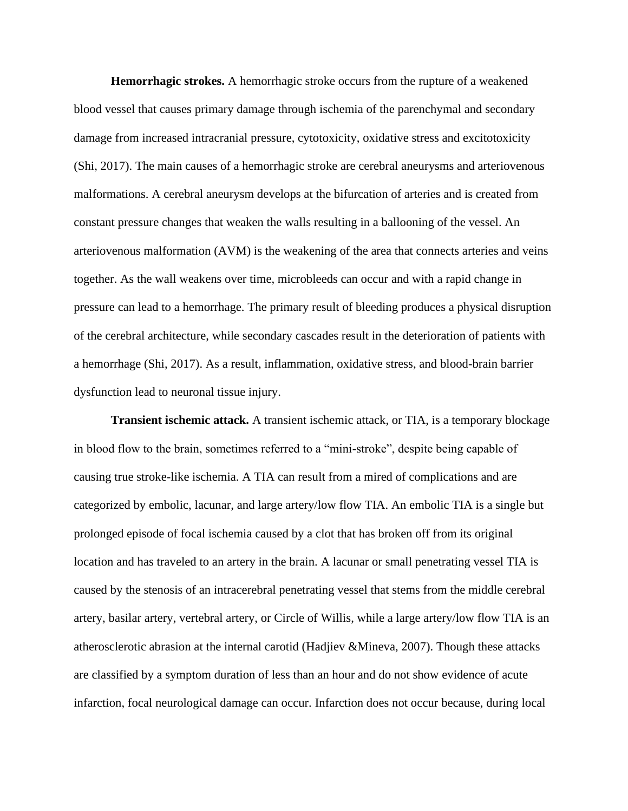**Hemorrhagic strokes.** A hemorrhagic stroke occurs from the rupture of a weakened blood vessel that causes primary damage through ischemia of the parenchymal and secondary damage from increased intracranial pressure, cytotoxicity, oxidative stress and excitotoxicity (Shi, 2017). The main causes of a hemorrhagic stroke are cerebral aneurysms and arteriovenous malformations. A cerebral aneurysm develops at the bifurcation of arteries and is created from constant pressure changes that weaken the walls resulting in a ballooning of the vessel. An arteriovenous malformation (AVM) is the weakening of the area that connects arteries and veins together. As the wall weakens over time, microbleeds can occur and with a rapid change in pressure can lead to a hemorrhage. The primary result of bleeding produces a physical disruption of the cerebral architecture, while secondary cascades result in the deterioration of patients with a hemorrhage (Shi, 2017). As a result, inflammation, oxidative stress, and blood-brain barrier dysfunction lead to neuronal tissue injury.

**Transient ischemic attack.** A transient ischemic attack, or TIA, is a temporary blockage in blood flow to the brain, sometimes referred to a "mini-stroke", despite being capable of causing true stroke-like ischemia. A TIA can result from a mired of complications and are categorized by embolic, lacunar, and large artery/low flow TIA. An embolic TIA is a single but prolonged episode of focal ischemia caused by a clot that has broken off from its original location and has traveled to an artery in the brain. A lacunar or small penetrating vessel TIA is caused by the stenosis of an intracerebral penetrating vessel that stems from the middle cerebral artery, basilar artery, vertebral artery, or Circle of Willis, while a large artery/low flow TIA is an atherosclerotic abrasion at the internal carotid (Hadjiev &Mineva, 2007). Though these attacks are classified by a symptom duration of less than an hour and do not show evidence of acute infarction, focal neurological damage can occur. Infarction does not occur because, during local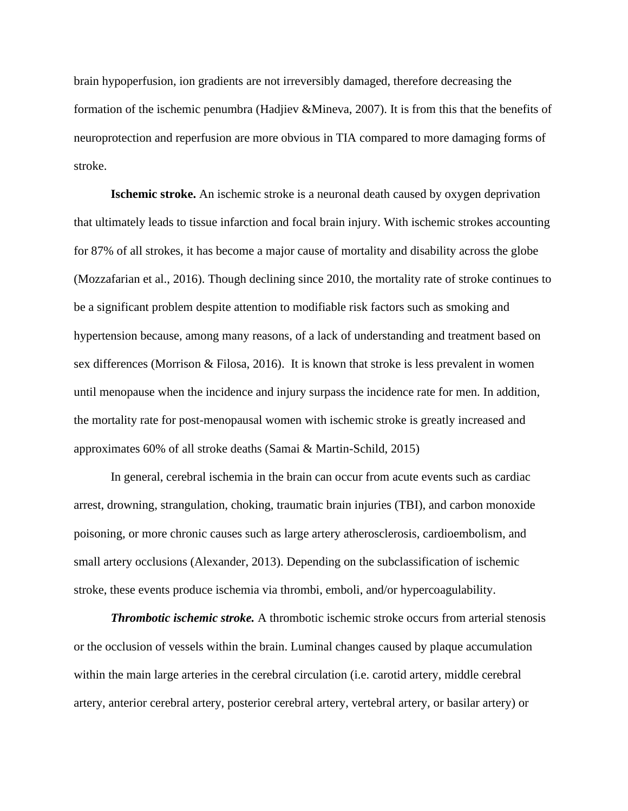brain hypoperfusion, ion gradients are not irreversibly damaged, therefore decreasing the formation of the ischemic penumbra (Hadjiev &Mineva, 2007). It is from this that the benefits of neuroprotection and reperfusion are more obvious in TIA compared to more damaging forms of stroke.

**Ischemic stroke.** An ischemic stroke is a neuronal death caused by oxygen deprivation that ultimately leads to tissue infarction and focal brain injury. With ischemic strokes accounting for 87% of all strokes, it has become a major cause of mortality and disability across the globe (Mozzafarian et al., 2016). Though declining since 2010, the mortality rate of stroke continues to be a significant problem despite attention to modifiable risk factors such as smoking and hypertension because, among many reasons, of a lack of understanding and treatment based on sex differences (Morrison & Filosa, 2016). It is known that stroke is less prevalent in women until menopause when the incidence and injury surpass the incidence rate for men. In addition, the mortality rate for post-menopausal women with ischemic stroke is greatly increased and approximates 60% of all stroke deaths (Samai & Martin-Schild, 2015)

In general, cerebral ischemia in the brain can occur from acute events such as cardiac arrest, drowning, strangulation, choking, traumatic brain injuries (TBI), and carbon monoxide poisoning, or more chronic causes such as large artery atherosclerosis, cardioembolism, and small artery occlusions (Alexander, 2013). Depending on the subclassification of ischemic stroke, these events produce ischemia via thrombi, emboli, and/or hypercoagulability.

*Thrombotic ischemic stroke.* A thrombotic ischemic stroke occurs from arterial stenosis or the occlusion of vessels within the brain. Luminal changes caused by plaque accumulation within the main large arteries in the cerebral circulation (i.e. carotid artery, middle cerebral artery, anterior cerebral artery, posterior cerebral artery, vertebral artery, or basilar artery) or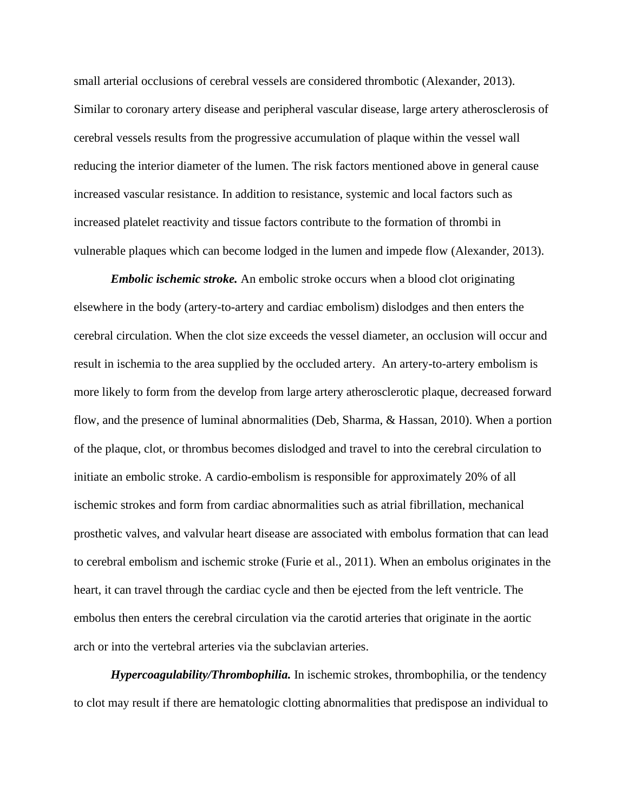small arterial occlusions of cerebral vessels are considered thrombotic (Alexander, 2013). Similar to coronary artery disease and peripheral vascular disease, large artery atherosclerosis of cerebral vessels results from the progressive accumulation of plaque within the vessel wall reducing the interior diameter of the lumen. The risk factors mentioned above in general cause increased vascular resistance. In addition to resistance, systemic and local factors such as increased platelet reactivity and tissue factors contribute to the formation of thrombi in vulnerable plaques which can become lodged in the lumen and impede flow (Alexander, 2013).

*Embolic ischemic stroke.* An embolic stroke occurs when a blood clot originating elsewhere in the body (artery-to-artery and cardiac embolism) dislodges and then enters the cerebral circulation. When the clot size exceeds the vessel diameter, an occlusion will occur and result in ischemia to the area supplied by the occluded artery. An artery-to-artery embolism is more likely to form from the develop from large artery atherosclerotic plaque, decreased forward flow, and the presence of luminal abnormalities (Deb, Sharma, & Hassan, 2010). When a portion of the plaque, clot, or thrombus becomes dislodged and travel to into the cerebral circulation to initiate an embolic stroke. A cardio-embolism is responsible for approximately 20% of all ischemic strokes and form from cardiac abnormalities such as atrial fibrillation, mechanical prosthetic valves, and valvular heart disease are associated with embolus formation that can lead to cerebral embolism and ischemic stroke (Furie et al., 2011). When an embolus originates in the heart, it can travel through the cardiac cycle and then be ejected from the left ventricle. The embolus then enters the cerebral circulation via the carotid arteries that originate in the aortic arch or into the vertebral arteries via the subclavian arteries.

*Hypercoagulability/Thrombophilia.* In ischemic strokes, thrombophilia, or the tendency to clot may result if there are hematologic clotting abnormalities that predispose an individual to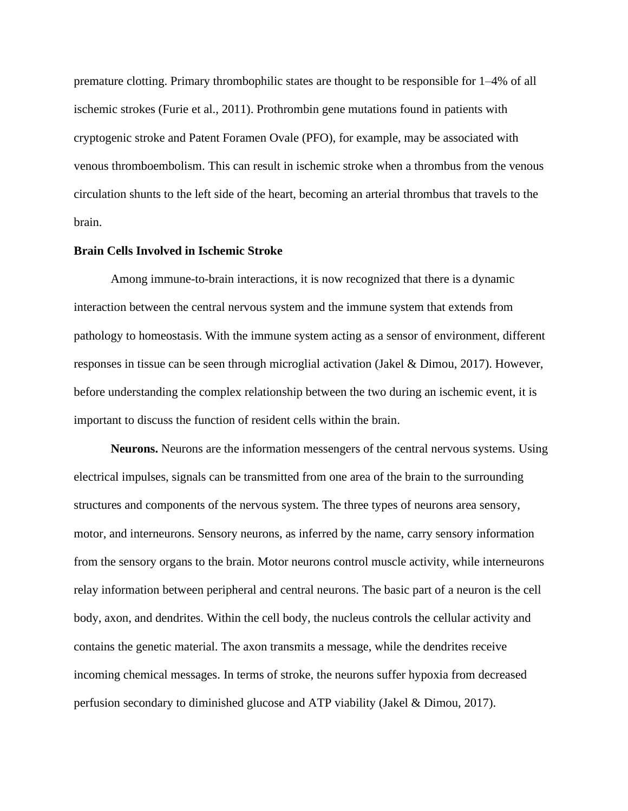premature clotting. Primary thrombophilic states are thought to be responsible for 1–4% of all ischemic strokes (Furie et al., 2011). Prothrombin gene mutations found in patients with cryptogenic stroke and Patent Foramen Ovale (PFO), for example, may be associated with venous thromboembolism. This can result in ischemic stroke when a thrombus from the venous circulation shunts to the left side of the heart, becoming an arterial thrombus that travels to the brain.

#### **Brain Cells Involved in Ischemic Stroke**

Among immune-to-brain interactions, it is now recognized that there is a dynamic interaction between the central nervous system and the immune system that extends from pathology to homeostasis. With the immune system acting as a sensor of environment, different responses in tissue can be seen through microglial activation (Jakel & Dimou, 2017). However, before understanding the complex relationship between the two during an ischemic event, it is important to discuss the function of resident cells within the brain.

**Neurons.** Neurons are the information messengers of the central nervous systems. Using electrical impulses, signals can be transmitted from one area of the brain to the surrounding structures and components of the nervous system. The three types of neurons area sensory, motor, and interneurons. Sensory neurons, as inferred by the name, carry sensory information from the sensory organs to the brain. Motor neurons control muscle activity, while interneurons relay information between peripheral and central neurons. The basic part of a neuron is the cell body, axon, and dendrites. Within the cell body, the nucleus controls the cellular activity and contains the genetic material. The axon transmits a message, while the dendrites receive incoming chemical messages. In terms of stroke, the neurons suffer hypoxia from decreased perfusion secondary to diminished glucose and ATP viability (Jakel & Dimou, 2017).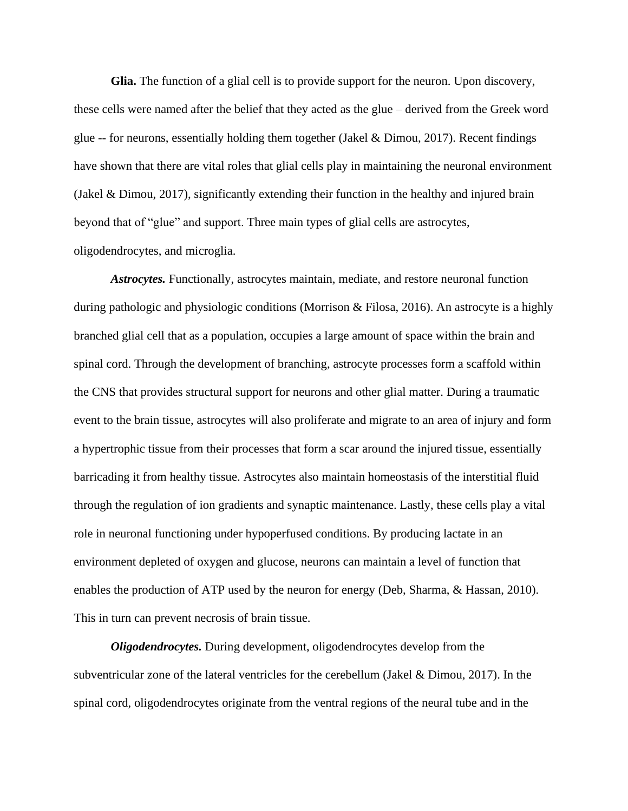**Glia.** The function of a glial cell is to provide support for the neuron. Upon discovery, these cells were named after the belief that they acted as the glue – derived from the Greek word glue  $-$  for neurons, essentially holding them together (Jakel & Dimou, 2017). Recent findings have shown that there are vital roles that glial cells play in maintaining the neuronal environment (Jakel & Dimou, 2017), significantly extending their function in the healthy and injured brain beyond that of "glue" and support. Three main types of glial cells are astrocytes, oligodendrocytes, and microglia.

*Astrocytes.* Functionally, astrocytes maintain, mediate, and restore neuronal function during pathologic and physiologic conditions (Morrison & Filosa, 2016). An astrocyte is a highly branched glial cell that as a population, occupies a large amount of space within the brain and spinal cord. Through the development of branching, astrocyte processes form a scaffold within the CNS that provides structural support for neurons and other glial matter. During a traumatic event to the brain tissue, astrocytes will also proliferate and migrate to an area of injury and form a hypertrophic tissue from their processes that form a scar around the injured tissue, essentially barricading it from healthy tissue. Astrocytes also maintain homeostasis of the interstitial fluid through the regulation of ion gradients and synaptic maintenance. Lastly, these cells play a vital role in neuronal functioning under hypoperfused conditions. By producing lactate in an environment depleted of oxygen and glucose, neurons can maintain a level of function that enables the production of ATP used by the neuron for energy (Deb, Sharma, & Hassan, 2010). This in turn can prevent necrosis of brain tissue.

*Oligodendrocytes.* During development, oligodendrocytes develop from the subventricular zone of the lateral ventricles for the cerebellum (Jakel & Dimou, 2017). In the spinal cord, oligodendrocytes originate from the ventral regions of the neural tube and in the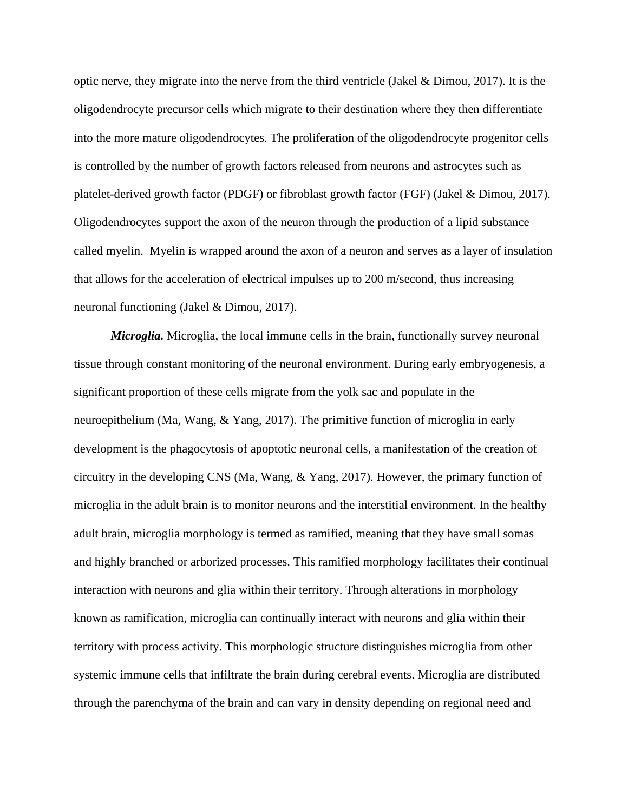optic nerve, they migrate into the nerve from the third ventricle (Jakel & Dimou, 2017). It is the oligodendrocyte precursor cells which migrate to their destination where they then differentiate into the more mature oligodendrocytes. The proliferation of the oligodendrocyte progenitor cells is controlled by the number of growth factors released from neurons and astrocytes such as platelet-derived growth factor (PDGF) or fibroblast growth factor (FGF) (Jakel & Dimou, 2017). Oligodendrocytes support the axon of the neuron through the production of a lipid substance called myelin. Myelin is wrapped around the axon of a neuron and serves as a layer of insulation that allows for the acceleration of electrical impulses up to 200 m/second, thus increasing neuronal functioning (Jakel & Dimou, 2017).

*Microglia.* Microglia, the local immune cells in the brain, functionally survey neuronal tissue through constant monitoring of the neuronal environment. During early embryogenesis, a significant proportion of these cells migrate from the yolk sac and populate in the neuroepithelium (Ma, Wang, & Yang, 2017). The primitive function of microglia in early development is the phagocytosis of apoptotic neuronal cells, a manifestation of the creation of circuitry in the developing CNS (Ma, Wang, & Yang, 2017). However, the primary function of microglia in the adult brain is to monitor neurons and the interstitial environment. In the healthy adult brain, microglia morphology is termed as ramified, meaning that they have small somas and highly branched or arborized processes. This ramified morphology facilitates their continual interaction with neurons and glia within their territory. Through alterations in morphology known as ramification, microglia can continually interact with neurons and glia within their territory with process activity. This morphologic structure distinguishes microglia from other systemic immune cells that infiltrate the brain during cerebral events. Microglia are distributed through the parenchyma of the brain and can vary in density depending on regional need and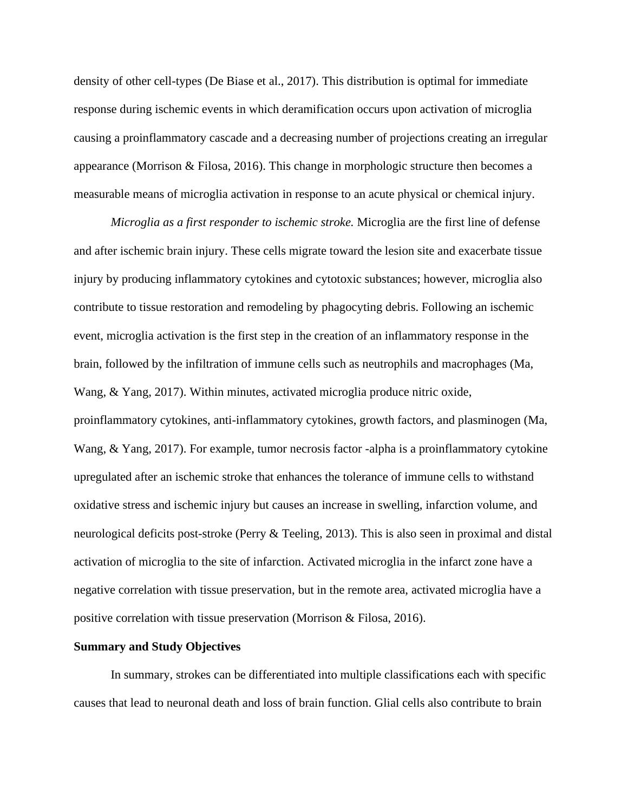density of other cell-types (De Biase et al., 2017). This distribution is optimal for immediate response during ischemic events in which deramification occurs upon activation of microglia causing a proinflammatory cascade and a decreasing number of projections creating an irregular appearance (Morrison & Filosa, 2016). This change in morphologic structure then becomes a measurable means of microglia activation in response to an acute physical or chemical injury.

*Microglia as a first responder to ischemic stroke.* Microglia are the first line of defense and after ischemic brain injury. These cells migrate toward the lesion site and exacerbate tissue injury by producing inflammatory cytokines and cytotoxic substances; however, microglia also contribute to tissue restoration and remodeling by phagocyting debris. Following an ischemic event, microglia activation is the first step in the creation of an inflammatory response in the brain, followed by the infiltration of immune cells such as neutrophils and macrophages (Ma, Wang, & Yang, 2017). Within minutes, activated microglia produce nitric oxide, proinflammatory cytokines, anti-inflammatory cytokines, growth factors, and plasminogen (Ma, Wang, & Yang, 2017). For example, tumor necrosis factor -alpha is a proinflammatory cytokine upregulated after an ischemic stroke that enhances the tolerance of immune cells to withstand oxidative stress and ischemic injury but causes an increase in swelling, infarction volume, and neurological deficits post-stroke (Perry & Teeling, 2013). This is also seen in proximal and distal activation of microglia to the site of infarction. Activated microglia in the infarct zone have a negative correlation with tissue preservation, but in the remote area, activated microglia have a positive correlation with tissue preservation (Morrison & Filosa, 2016).

#### **Summary and Study Objectives**

In summary, strokes can be differentiated into multiple classifications each with specific causes that lead to neuronal death and loss of brain function. Glial cells also contribute to brain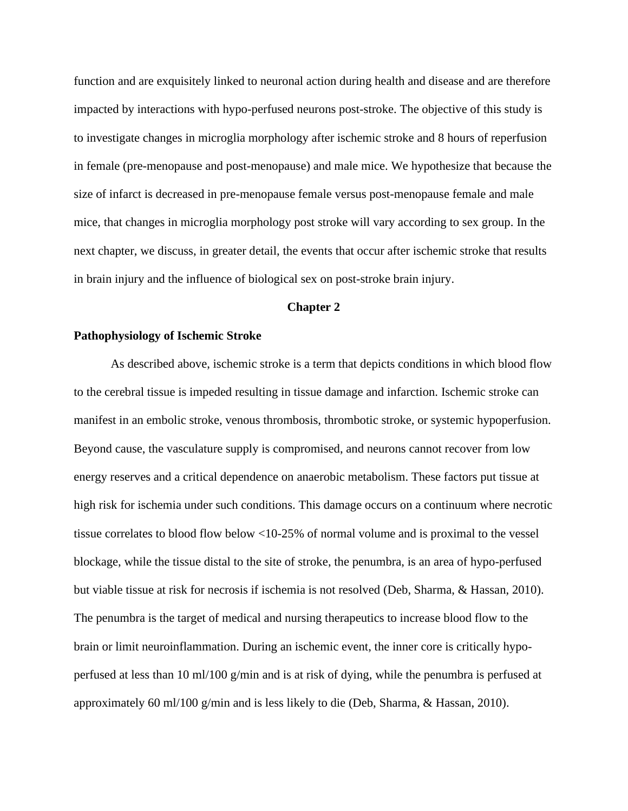function and are exquisitely linked to neuronal action during health and disease and are therefore impacted by interactions with hypo-perfused neurons post-stroke. The objective of this study is to investigate changes in microglia morphology after ischemic stroke and 8 hours of reperfusion in female (pre-menopause and post-menopause) and male mice. We hypothesize that because the size of infarct is decreased in pre-menopause female versus post-menopause female and male mice, that changes in microglia morphology post stroke will vary according to sex group. In the next chapter, we discuss, in greater detail, the events that occur after ischemic stroke that results in brain injury and the influence of biological sex on post-stroke brain injury.

#### **Chapter 2**

## **Pathophysiology of Ischemic Stroke**

As described above, ischemic stroke is a term that depicts conditions in which blood flow to the cerebral tissue is impeded resulting in tissue damage and infarction. Ischemic stroke can manifest in an embolic stroke, venous thrombosis, thrombotic stroke, or systemic hypoperfusion. Beyond cause, the vasculature supply is compromised, and neurons cannot recover from low energy reserves and a critical dependence on anaerobic metabolism. These factors put tissue at high risk for ischemia under such conditions. This damage occurs on a continuum where necrotic tissue correlates to blood flow below <10-25% of normal volume and is proximal to the vessel blockage, while the tissue distal to the site of stroke, the penumbra, is an area of hypo-perfused but viable tissue at risk for necrosis if ischemia is not resolved (Deb, Sharma, & Hassan, 2010). The penumbra is the target of medical and nursing therapeutics to increase blood flow to the brain or limit neuroinflammation. During an ischemic event, the inner core is critically hypoperfused at less than 10 ml/100 g/min and is at risk of dying, while the penumbra is perfused at approximately 60 ml/100 g/min and is less likely to die (Deb, Sharma, & Hassan, 2010).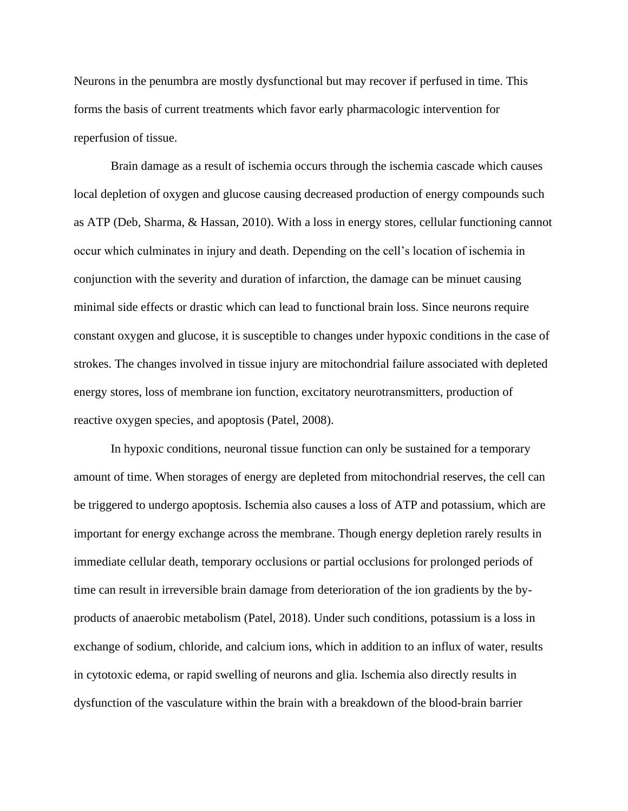Neurons in the penumbra are mostly dysfunctional but may recover if perfused in time. This forms the basis of current treatments which favor early pharmacologic intervention for reperfusion of tissue.

Brain damage as a result of ischemia occurs through the ischemia cascade which causes local depletion of oxygen and glucose causing decreased production of energy compounds such as ATP (Deb, Sharma, & Hassan, 2010). With a loss in energy stores, cellular functioning cannot occur which culminates in injury and death. Depending on the cell's location of ischemia in conjunction with the severity and duration of infarction, the damage can be minuet causing minimal side effects or drastic which can lead to functional brain loss. Since neurons require constant oxygen and glucose, it is susceptible to changes under hypoxic conditions in the case of strokes. The changes involved in tissue injury are mitochondrial failure associated with depleted energy stores, loss of membrane ion function, excitatory neurotransmitters, production of reactive oxygen species, and apoptosis (Patel, 2008).

In hypoxic conditions, neuronal tissue function can only be sustained for a temporary amount of time. When storages of energy are depleted from mitochondrial reserves, the cell can be triggered to undergo apoptosis. Ischemia also causes a loss of ATP and potassium, which are important for energy exchange across the membrane. Though energy depletion rarely results in immediate cellular death, temporary occlusions or partial occlusions for prolonged periods of time can result in irreversible brain damage from deterioration of the ion gradients by the byproducts of anaerobic metabolism (Patel, 2018). Under such conditions, potassium is a loss in exchange of sodium, chloride, and calcium ions, which in addition to an influx of water, results in cytotoxic edema, or rapid swelling of neurons and glia. Ischemia also directly results in dysfunction of the vasculature within the brain with a breakdown of the blood-brain barrier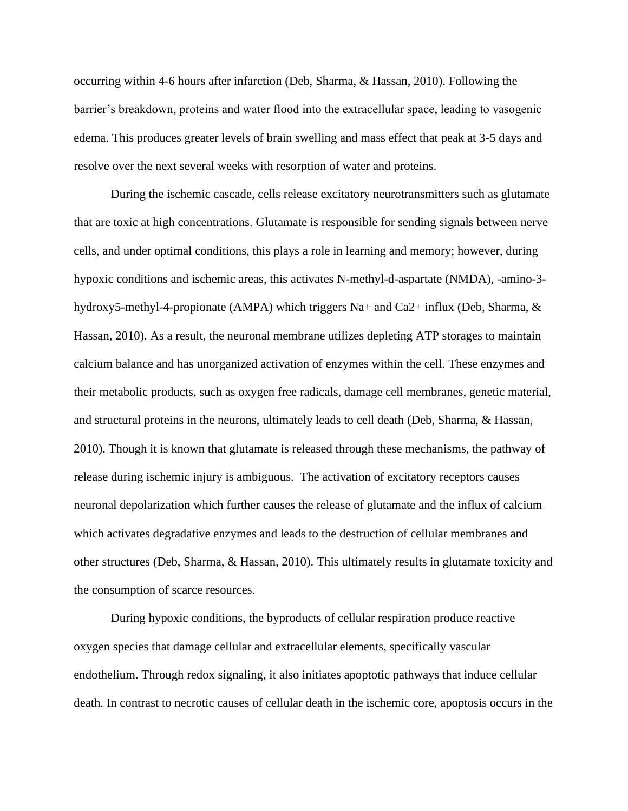occurring within 4-6 hours after infarction (Deb, Sharma, & Hassan, 2010). Following the barrier's breakdown, proteins and water flood into the extracellular space, leading to vasogenic edema. This produces greater levels of brain swelling and mass effect that peak at 3-5 days and resolve over the next several weeks with resorption of water and proteins.

During the ischemic cascade, cells release excitatory neurotransmitters such as glutamate that are toxic at high concentrations. Glutamate is responsible for sending signals between nerve cells, and under optimal conditions, this plays a role in learning and memory; however, during hypoxic conditions and ischemic areas, this activates N-methyl-d-aspartate (NMDA), -amino-3 hydroxy5-methyl-4-propionate (AMPA) which triggers Na+ and Ca2+ influx (Deb, Sharma, & Hassan, 2010). As a result, the neuronal membrane utilizes depleting ATP storages to maintain calcium balance and has unorganized activation of enzymes within the cell. These enzymes and their metabolic products, such as oxygen free radicals, damage cell membranes, genetic material, and structural proteins in the neurons, ultimately leads to cell death (Deb, Sharma, & Hassan, 2010). Though it is known that glutamate is released through these mechanisms, the pathway of release during ischemic injury is ambiguous. The activation of excitatory receptors causes neuronal depolarization which further causes the release of glutamate and the influx of calcium which activates degradative enzymes and leads to the destruction of cellular membranes and other structures (Deb, Sharma, & Hassan, 2010). This ultimately results in glutamate toxicity and the consumption of scarce resources.

During hypoxic conditions, the byproducts of cellular respiration produce reactive oxygen species that damage cellular and extracellular elements, specifically vascular endothelium. Through redox signaling, it also initiates apoptotic pathways that induce cellular death. In contrast to necrotic causes of cellular death in the ischemic core, apoptosis occurs in the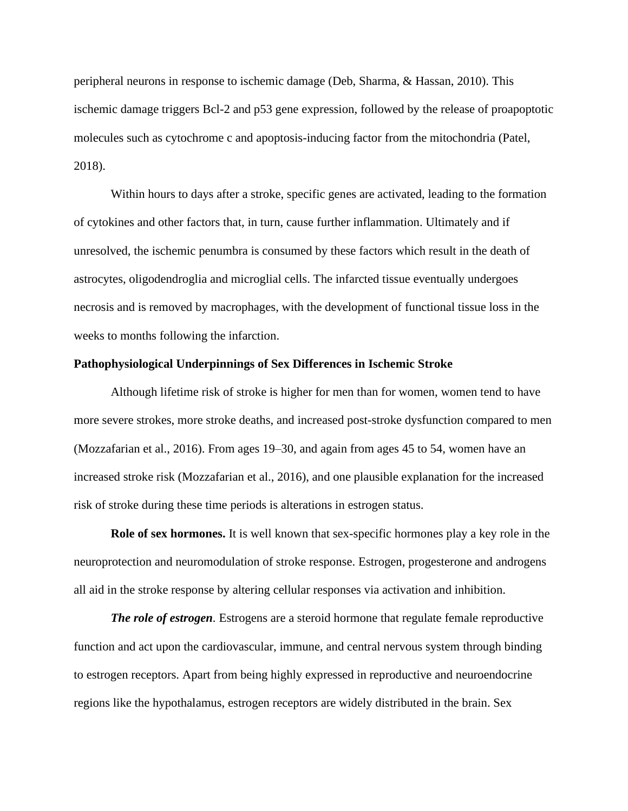peripheral neurons in response to ischemic damage (Deb, Sharma, & Hassan, 2010). This ischemic damage triggers Bcl-2 and p53 gene expression, followed by the release of proapoptotic molecules such as cytochrome c and apoptosis-inducing factor from the mitochondria (Patel, 2018).

Within hours to days after a stroke, specific genes are activated, leading to the formation of cytokines and other factors that, in turn, cause further inflammation. Ultimately and if unresolved, the ischemic penumbra is consumed by these factors which result in the death of astrocytes, oligodendroglia and microglial cells. The infarcted tissue eventually undergoes necrosis and is removed by macrophages, with the development of functional tissue loss in the weeks to months following the infarction.

#### **Pathophysiological Underpinnings of Sex Differences in Ischemic Stroke**

Although lifetime risk of stroke is higher for men than for women, women tend to have more severe strokes, more stroke deaths, and increased post-stroke dysfunction compared to men (Mozzafarian et al., 2016). From ages 19–30, and again from ages 45 to 54, women have an increased stroke risk (Mozzafarian et al., 2016), and one plausible explanation for the increased risk of stroke during these time periods is alterations in estrogen status.

**Role of sex hormones.** It is well known that sex-specific hormones play a key role in the neuroprotection and neuromodulation of stroke response. Estrogen, progesterone and androgens all aid in the stroke response by altering cellular responses via activation and inhibition.

*The role of estrogen.* Estrogens are a steroid hormone that regulate female reproductive function and act upon the cardiovascular, immune, and central nervous system through binding to estrogen receptors. Apart from being highly expressed in reproductive and neuroendocrine regions like the hypothalamus, estrogen receptors are widely distributed in the brain. Sex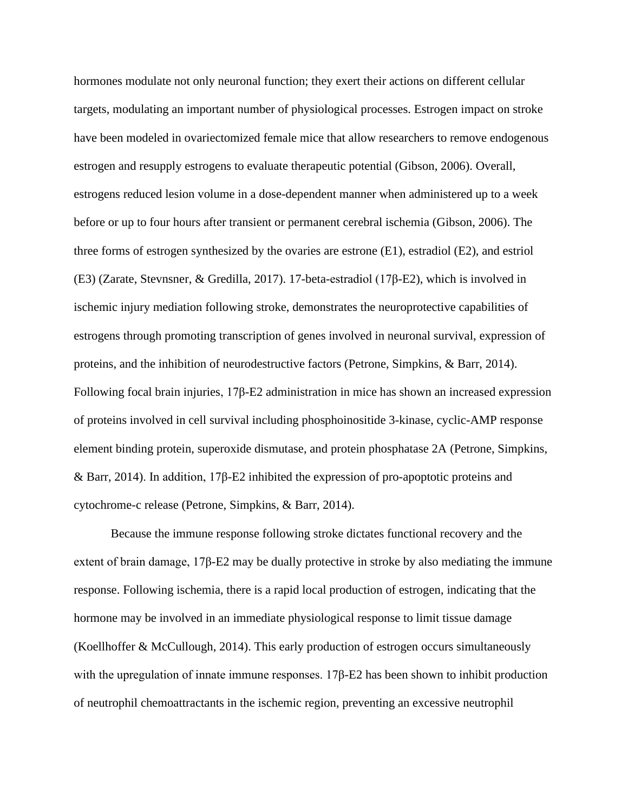hormones modulate not only neuronal function; they exert their actions on different cellular targets, modulating an important number of physiological processes. Estrogen impact on stroke have been modeled in ovariectomized female mice that allow researchers to remove endogenous estrogen and resupply estrogens to evaluate therapeutic potential (Gibson, 2006). Overall, estrogens reduced lesion volume in a dose-dependent manner when administered up to a week before or up to four hours after transient or permanent cerebral ischemia (Gibson, 2006). The three forms of estrogen synthesized by the ovaries are estrone (E1), estradiol (E2), and estriol (E3) (Zarate, Stevnsner, & Gredilla, 2017). 17-beta-estradiol (17β-E2), which is involved in ischemic injury mediation following stroke, demonstrates the neuroprotective capabilities of estrogens through promoting transcription of genes involved in neuronal survival, expression of proteins, and the inhibition of neurodestructive factors (Petrone, Simpkins, & Barr, 2014). Following focal brain injuries, 17β-E2 administration in mice has shown an increased expression of proteins involved in cell survival including phosphoinositide 3-kinase, cyclic-AMP response element binding protein, superoxide dismutase, and protein phosphatase 2A (Petrone, Simpkins, & Barr, 2014). In addition, 17β-E2 inhibited the expression of pro-apoptotic proteins and cytochrome-c release (Petrone, Simpkins, & Barr, 2014).

Because the immune response following stroke dictates functional recovery and the extent of brain damage, 17β-E2 may be dually protective in stroke by also mediating the immune response. Following ischemia, there is a rapid local production of estrogen, indicating that the hormone may be involved in an immediate physiological response to limit tissue damage (Koellhoffer & McCullough, 2014). This early production of estrogen occurs simultaneously with the upregulation of innate immune responses. 17β-E2 has been shown to inhibit production of neutrophil chemoattractants in the ischemic region, preventing an excessive neutrophil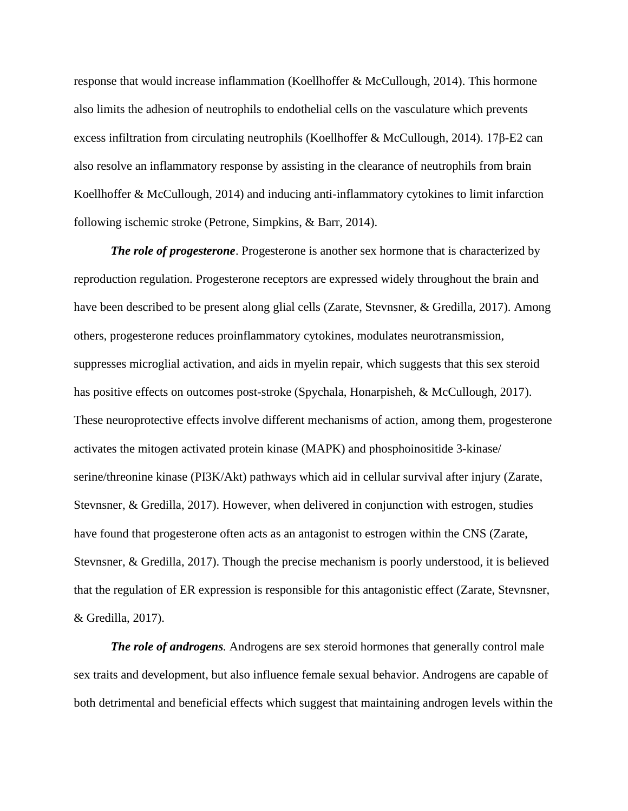response that would increase inflammation (Koellhoffer & McCullough, 2014). This hormone also limits the adhesion of neutrophils to endothelial cells on the vasculature which prevents excess infiltration from circulating neutrophils (Koellhoffer & McCullough, 2014). 17β-E2 can also resolve an inflammatory response by assisting in the clearance of neutrophils from brain Koellhoffer & McCullough, 2014) and inducing anti-inflammatory cytokines to limit infarction following ischemic stroke (Petrone, Simpkins, & Barr, 2014).

*The role of progesterone*. Progesterone is another sex hormone that is characterized by reproduction regulation. Progesterone receptors are expressed widely throughout the brain and have been described to be present along glial cells (Zarate, Stevnsner, & Gredilla, 2017). Among others, progesterone reduces proinflammatory cytokines, modulates neurotransmission, suppresses microglial activation, and aids in myelin repair, which suggests that this sex steroid has positive effects on outcomes post-stroke (Spychala, Honarpisheh, & McCullough, 2017). These neuroprotective effects involve different mechanisms of action, among them, progesterone activates the mitogen activated protein kinase (MAPK) and phosphoinositide 3-kinase/ serine/threonine kinase (PI3K/Akt) pathways which aid in cellular survival after injury (Zarate, Stevnsner, & Gredilla, 2017). However, when delivered in conjunction with estrogen, studies have found that progesterone often acts as an antagonist to estrogen within the CNS (Zarate, Stevnsner, & Gredilla, 2017). Though the precise mechanism is poorly understood, it is believed that the regulation of ER expression is responsible for this antagonistic effect (Zarate, Stevnsner, & Gredilla, 2017).

*The role of androgens.* Androgens are sex steroid hormones that generally control male sex traits and development, but also influence female sexual behavior. Androgens are capable of both detrimental and beneficial effects which suggest that maintaining androgen levels within the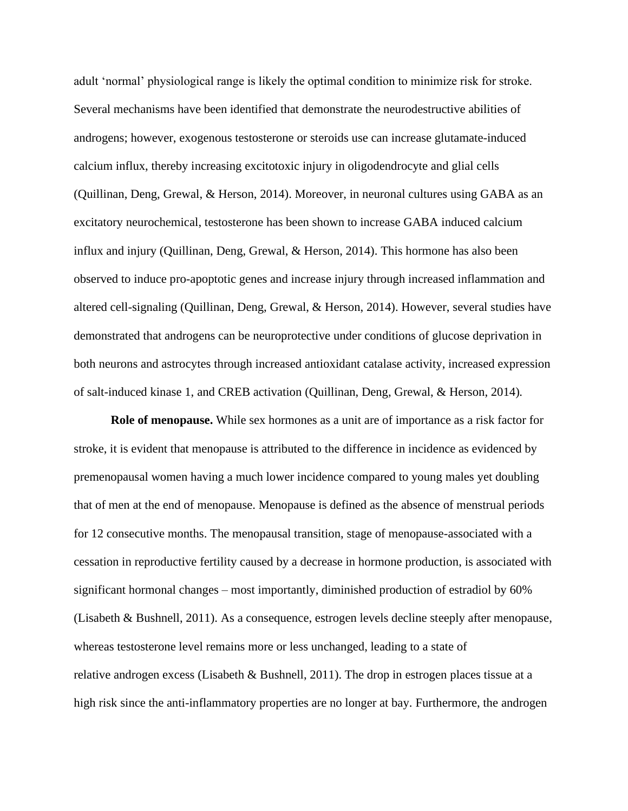adult 'normal' physiological range is likely the optimal condition to minimize risk for stroke. Several mechanisms have been identified that demonstrate the neurodestructive abilities of androgens; however, exogenous testosterone or steroids use can increase glutamate-induced calcium influx, thereby increasing excitotoxic injury in oligodendrocyte and glial cells (Quillinan, Deng, Grewal, & Herson, 2014). Moreover, in neuronal cultures using GABA as an excitatory neurochemical, testosterone has been shown to increase GABA induced calcium influx and injury (Quillinan, Deng, Grewal, & Herson, 2014). This hormone has also been observed to induce pro-apoptotic genes and increase injury through increased inflammation and altered cell-signaling (Quillinan, Deng, Grewal, & Herson, 2014). However, several studies have demonstrated that androgens can be neuroprotective under conditions of glucose deprivation in both neurons and astrocytes through increased antioxidant catalase activity, increased expression of salt-induced kinase 1, and CREB activation (Quillinan, Deng, Grewal, & Herson, 2014)*.* 

**Role of menopause.** While sex hormones as a unit are of importance as a risk factor for stroke, it is evident that menopause is attributed to the difference in incidence as evidenced by premenopausal women having a much lower incidence compared to young males yet doubling that of men at the end of menopause. Menopause is defined as the absence of menstrual periods for 12 consecutive months. The menopausal transition, stage of menopause-associated with a cessation in reproductive fertility caused by a decrease in hormone production, is associated with significant hormonal changes – most importantly, diminished production of estradiol by 60% (Lisabeth & Bushnell, 2011). As a consequence, estrogen levels decline steeply after menopause, whereas testosterone level remains more or less unchanged, leading to a state of relative [androgen excess](https://www.sciencedirect.com/topics/neuroscience/hyperandrogenism) (Lisabeth & Bushnell, 2011). The drop in estrogen places tissue at a high risk since the anti-inflammatory properties are no longer at bay. Furthermore, the androgen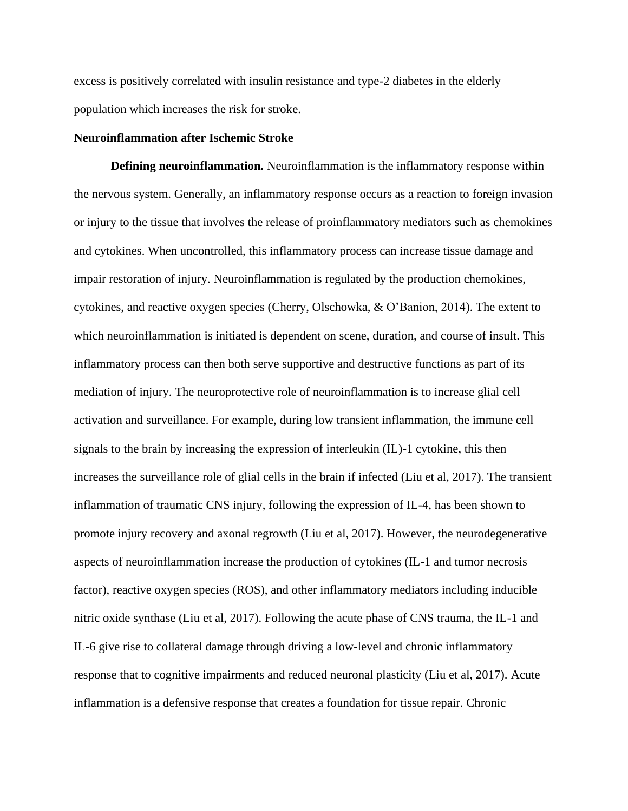excess is positively correlated with insulin resistance and type-2 [diabetes](https://www.sciencedirect.com/topics/neuroscience/diabetes) in the elderly population which increases the risk for stroke.

# **Neuroinflammation after Ischemic Stroke**

**Defining neuroinflammation***.* Neuroinflammation is the inflammatory response within the nervous system. Generally, an inflammatory response occurs as a reaction to foreign invasion or injury to the tissue that involves the release of proinflammatory mediators such as chemokines and cytokines. When uncontrolled, this inflammatory process can increase tissue damage and impair restoration of injury. Neuroinflammation is regulated by the production chemokines, cytokines, and reactive oxygen species (Cherry, Olschowka, & O'Banion, 2014). The extent to which neuroinflammation is initiated is dependent on scene, duration, and course of insult. This inflammatory process can then both serve supportive and destructive functions as part of its mediation of injury. The neuroprotective role of neuroinflammation is to increase glial cell activation and surveillance. For example, during low transient inflammation, the immune cell signals to the brain by increasing the expression of interleukin (IL)-1 cytokine, this then increases the surveillance role of glial cells in the brain if infected (Liu et al, 2017). The transient inflammation of traumatic CNS injury, following the expression of IL-4, has been shown to promote injury recovery and axonal regrowth (Liu et al, 2017). However, the neurodegenerative aspects of neuroinflammation increase the production of cytokines (IL-1 and tumor necrosis factor), reactive oxygen species (ROS), and other inflammatory mediators including inducible nitric oxide synthase (Liu et al, 2017). Following the acute phase of CNS trauma, the IL-1 and IL-6 give rise to collateral damage through driving a low-level and chronic inflammatory response that to cognitive impairments and reduced neuronal plasticity (Liu et al, 2017). Acute inflammation is a defensive response that creates a foundation for tissue repair. Chronic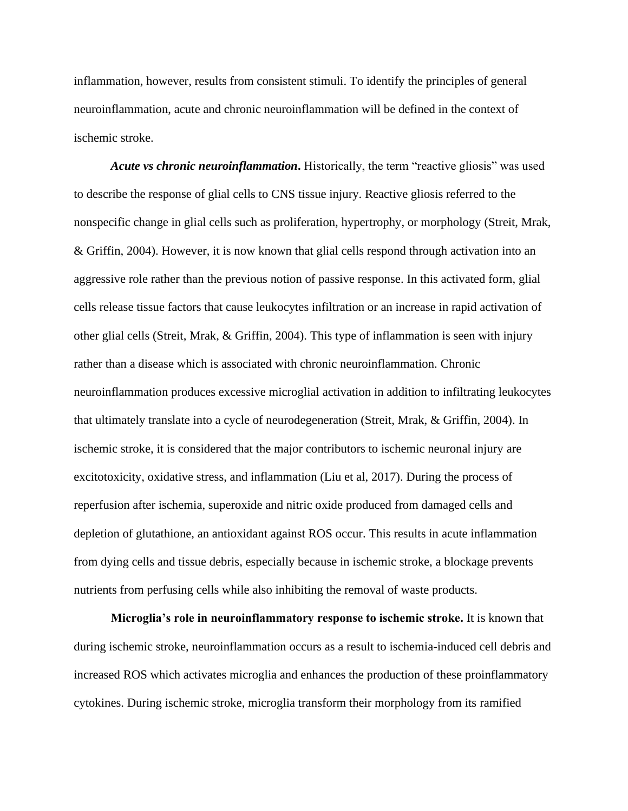inflammation, however, results from consistent stimuli. To identify the principles of general neuroinflammation, acute and chronic neuroinflammation will be defined in the context of ischemic stroke.

*Acute vs chronic neuroinflammation***.** Historically, the term "reactive gliosis" was used to describe the response of glial cells to CNS tissue injury. Reactive gliosis referred to the nonspecific change in glial cells such as proliferation, hypertrophy, or morphology (Streit, Mrak, & Griffin, 2004). However, it is now known that glial cells respond through activation into an aggressive role rather than the previous notion of passive response. In this activated form, glial cells release tissue factors that cause leukocytes infiltration or an increase in rapid activation of other glial cells (Streit, Mrak, & Griffin, 2004). This type of inflammation is seen with injury rather than a disease which is associated with chronic neuroinflammation. Chronic neuroinflammation produces excessive microglial activation in addition to infiltrating leukocytes that ultimately translate into a cycle of neurodegeneration (Streit, Mrak, & Griffin, 2004). In ischemic stroke, it is considered that the major contributors to ischemic neuronal injury are excitotoxicity, oxidative stress, and inflammation (Liu et al, 2017). During the process of reperfusion after ischemia, superoxide and nitric oxide produced from damaged cells and depletion of glutathione, an antioxidant against ROS occur. This results in acute inflammation from dying cells and tissue debris, especially because in ischemic stroke, a blockage prevents nutrients from perfusing cells while also inhibiting the removal of waste products.

**Microglia's role in neuroinflammatory response to ischemic stroke.** It is known that during ischemic stroke, neuroinflammation occurs as a result to ischemia-induced cell debris and increased ROS which activates microglia and enhances the production of these proinflammatory cytokines. During ischemic stroke, microglia transform their morphology from its ramified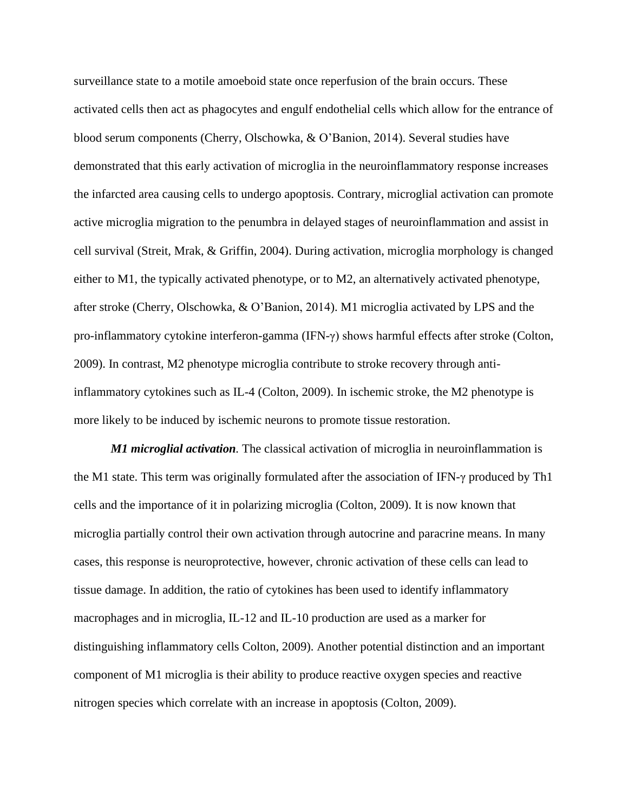surveillance state to a motile amoeboid state once reperfusion of the brain occurs. These activated cells then act as phagocytes and engulf endothelial cells which allow for the entrance of blood serum components (Cherry, Olschowka, & O'Banion, 2014). Several studies have demonstrated that this early activation of microglia in the neuroinflammatory response increases the infarcted area causing cells to undergo apoptosis. Contrary, microglial activation can promote active microglia migration to the penumbra in delayed stages of neuroinflammation and assist in cell survival (Streit, Mrak, & Griffin, 2004). During activation, microglia morphology is changed either to M1, the typically activated phenotype, or to M2, an alternatively activated phenotype, after stroke (Cherry, Olschowka, & O'Banion, 2014). M1 microglia activated by LPS and the pro-inflammatory cytokine interferon-gamma (IFN- $\gamma$ ) shows harmful effects after stroke (Colton, 2009). In contrast, M2 phenotype microglia contribute to stroke recovery through antiinflammatory cytokines such as IL-4 (Colton, 2009). In ischemic stroke, the M2 phenotype is more likely to be induced by ischemic neurons to promote tissue restoration.

*M1 microglial activation.* The classical activation of microglia in neuroinflammation is the M1 state. This term was originally formulated after the association of IFN-γ produced by Th1 cells and the importance of it in polarizing microglia (Colton, 2009). It is now known that microglia partially control their own activation through autocrine and paracrine means. In many cases, this response is neuroprotective, however, chronic activation of these cells can lead to tissue damage. In addition, the ratio of cytokines has been used to identify inflammatory macrophages and in microglia, IL-12 and IL-10 production are used as a marker for distinguishing inflammatory cells Colton, 2009). Another potential distinction and an important component of M1 microglia is their ability to produce reactive oxygen species and reactive nitrogen species which correlate with an increase in apoptosis (Colton, 2009).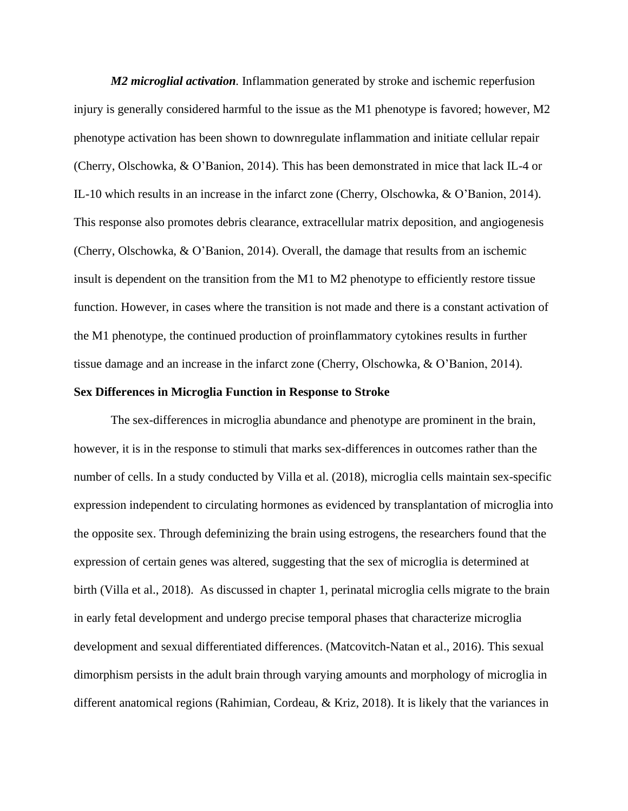*M2 microglial activation.* Inflammation generated by stroke and ischemic reperfusion injury is generally considered harmful to the issue as the M1 phenotype is favored; however, M2 phenotype activation has been shown to downregulate inflammation and initiate cellular repair (Cherry, Olschowka, & O'Banion, 2014). This has been demonstrated in mice that lack IL-4 or IL-10 which results in an increase in the infarct zone (Cherry, Olschowka, & O'Banion, 2014). This response also promotes debris clearance, extracellular matrix deposition, and angiogenesis (Cherry, Olschowka, & O'Banion, 2014). Overall, the damage that results from an ischemic insult is dependent on the transition from the M1 to M2 phenotype to efficiently restore tissue function. However, in cases where the transition is not made and there is a constant activation of the M1 phenotype, the continued production of proinflammatory cytokines results in further tissue damage and an increase in the infarct zone (Cherry, Olschowka, & O'Banion, 2014).

#### **Sex Differences in Microglia Function in Response to Stroke**

The sex-differences in microglia abundance and phenotype are prominent in the brain, however, it is in the response to stimuli that marks sex-differences in outcomes rather than the number of cells. In a study conducted by Villa et al. (2018), microglia cells maintain sex-specific expression independent to circulating hormones as evidenced by transplantation of microglia into the opposite sex. Through defeminizing the brain using estrogens, the researchers found that the expression of certain genes was altered, suggesting that the sex of microglia is determined at birth (Villa et al., 2018). As discussed in chapter 1, perinatal microglia cells migrate to the brain in early fetal development and undergo precise temporal phases that characterize microglia development and sexual differentiated differences. (Matcovitch-Natan et al., 2016). This sexual dimorphism persists in the adult brain through varying amounts and morphology of microglia in different anatomical regions (Rahimian, Cordeau, & Kriz, 2018). It is likely that the variances in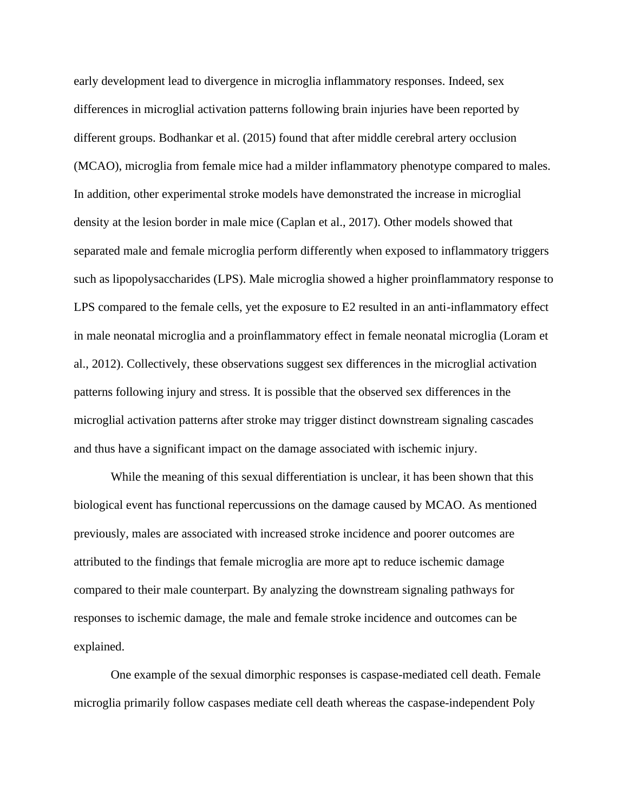early development lead to divergence in microglia inflammatory responses. Indeed, sex differences in microglial activation patterns following brain injuries have been reported by different groups. Bodhankar et al. (2015) found that after middle cerebral artery occlusion (MCAO), microglia from female mice had a milder inflammatory phenotype compared to males. In addition, other experimental stroke models have demonstrated the increase in microglial density at the lesion border in male mice (Caplan et al., 2017). Other models showed that separated male and female microglia perform differently when exposed to inflammatory triggers such as lipopolysaccharides (LPS). Male microglia showed a higher proinflammatory response to LPS compared to the female cells, yet the exposure to E2 resulted in an anti-inflammatory effect in male neonatal microglia and a proinflammatory effect in female neonatal microglia (Loram et al., 2012). Collectively, these observations suggest sex differences in the microglial activation patterns following injury and stress. It is possible that the observed sex differences in the microglial activation patterns after stroke may trigger distinct downstream signaling cascades and thus have a significant impact on the damage associated with ischemic injury.

While the meaning of this sexual differentiation is unclear, it has been shown that this biological event has functional repercussions on the damage caused by MCAO. As mentioned previously, males are associated with increased stroke incidence and poorer outcomes are attributed to the findings that female microglia are more apt to reduce ischemic damage compared to their male counterpart. By analyzing the downstream signaling pathways for responses to ischemic damage, the male and female stroke incidence and outcomes can be explained.

One example of the sexual dimorphic responses is caspase-mediated cell death. Female microglia primarily follow caspases mediate cell death whereas the caspase-independent Poly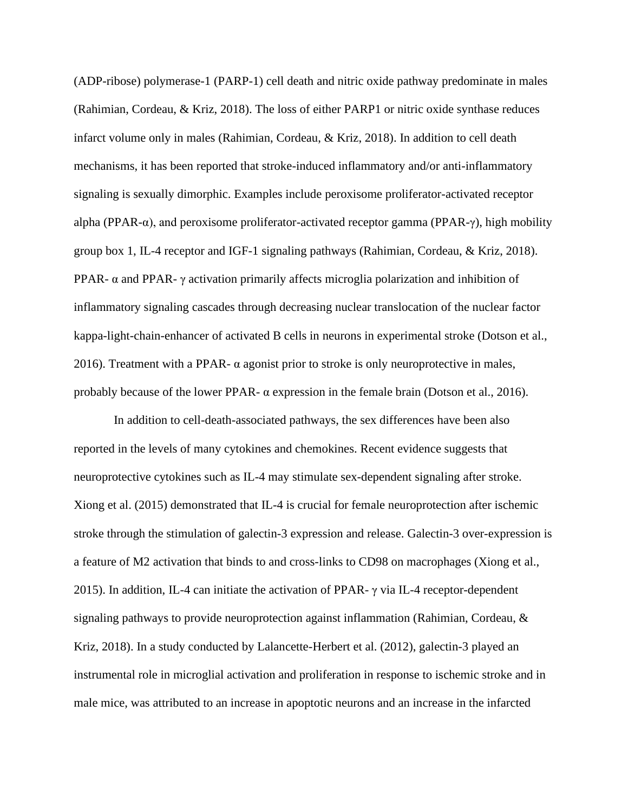(ADP-ribose) polymerase-1 (PARP-1) cell death and nitric oxide pathway predominate in males (Rahimian, Cordeau, & Kriz, 2018). The loss of either PARP1 or nitric oxide synthase reduces infarct volume only in males (Rahimian, Cordeau, & Kriz, 2018). In addition to cell death mechanisms, it has been reported that stroke-induced inflammatory and/or anti-inflammatory signaling is sexually dimorphic. Examples include peroxisome proliferator-activated receptor alpha (PPAR-α), and peroxisome proliferator-activated receptor gamma (PPAR-γ), high mobility group box 1, IL-4 receptor and IGF-1 signaling pathways (Rahimian, Cordeau, & Kriz, 2018). PPAR- α and PPAR-  $\gamma$  activation primarily affects microglia polarization and inhibition of inflammatory signaling cascades through decreasing nuclear translocation of the nuclear factor kappa-light-chain-enhancer of activated B cells in neurons in experimental stroke (Dotson et al., 2016). Treatment with a PPAR- $\alpha$  agonist prior to stroke is only neuroprotective in males, probably because of the lower PPAR-  $\alpha$  expression in the female brain (Dotson et al., 2016).

In addition to cell-death-associated pathways, the sex differences have been also reported in the levels of many cytokines and chemokines. Recent evidence suggests that neuroprotective cytokines such as IL-4 may stimulate sex-dependent signaling after stroke. Xiong et al. (2015) demonstrated that IL-4 is crucial for female neuroprotection after ischemic stroke through the stimulation of galectin-3 expression and release. Galectin-3 over-expression is a feature of M2 activation that binds to and cross-links to CD98 on macrophages (Xiong et al., 2015). In addition, IL-4 can initiate the activation of PPAR- $\gamma$  via IL-4 receptor-dependent signaling pathways to provide neuroprotection against inflammation (Rahimian, Cordeau, & Kriz, 2018). In a study conducted by Lalancette-Herbert et al. (2012), galectin-3 played an instrumental role in microglial activation and proliferation in response to ischemic stroke and in male mice, was attributed to an increase in apoptotic neurons and an increase in the infarcted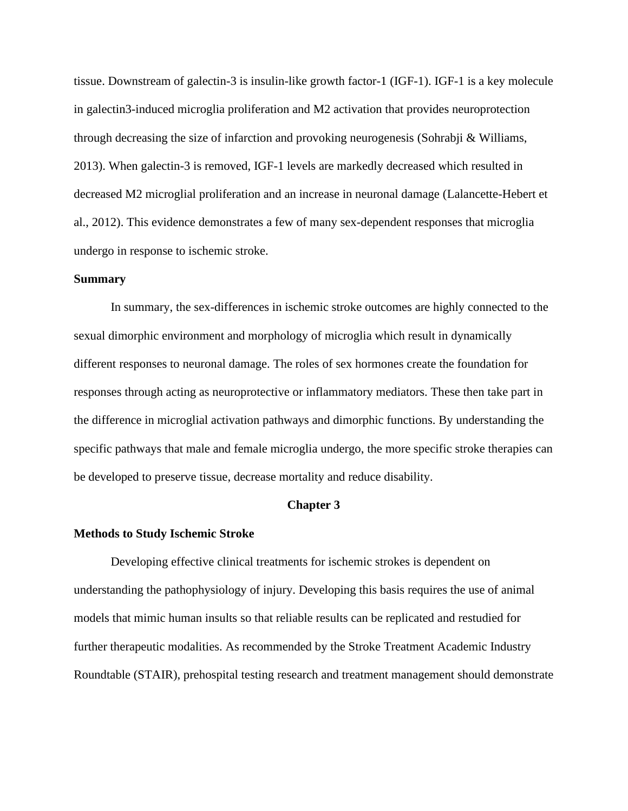tissue. Downstream of galectin-3 is insulin-like growth factor-1 (IGF-1). IGF-1 is a key molecule in galectin3-induced microglia proliferation and M2 activation that provides neuroprotection through decreasing the size of infarction and provoking neurogenesis (Sohrabji & Williams, 2013). When galectin-3 is removed, IGF-1 levels are markedly decreased which resulted in decreased M2 microglial proliferation and an increase in neuronal damage (Lalancette-Hebert et al., 2012). This evidence demonstrates a few of many sex-dependent responses that microglia undergo in response to ischemic stroke.

## **Summary**

In summary, the sex-differences in ischemic stroke outcomes are highly connected to the sexual dimorphic environment and morphology of microglia which result in dynamically different responses to neuronal damage. The roles of sex hormones create the foundation for responses through acting as neuroprotective or inflammatory mediators. These then take part in the difference in microglial activation pathways and dimorphic functions. By understanding the specific pathways that male and female microglia undergo, the more specific stroke therapies can be developed to preserve tissue, decrease mortality and reduce disability.

#### **Chapter 3**

#### **Methods to Study Ischemic Stroke**

Developing effective clinical treatments for ischemic strokes is dependent on understanding the pathophysiology of injury. Developing this basis requires the use of animal models that mimic human insults so that reliable results can be replicated and restudied for further therapeutic modalities. As recommended by the Stroke Treatment Academic Industry Roundtable (STAIR), prehospital testing research and treatment management should demonstrate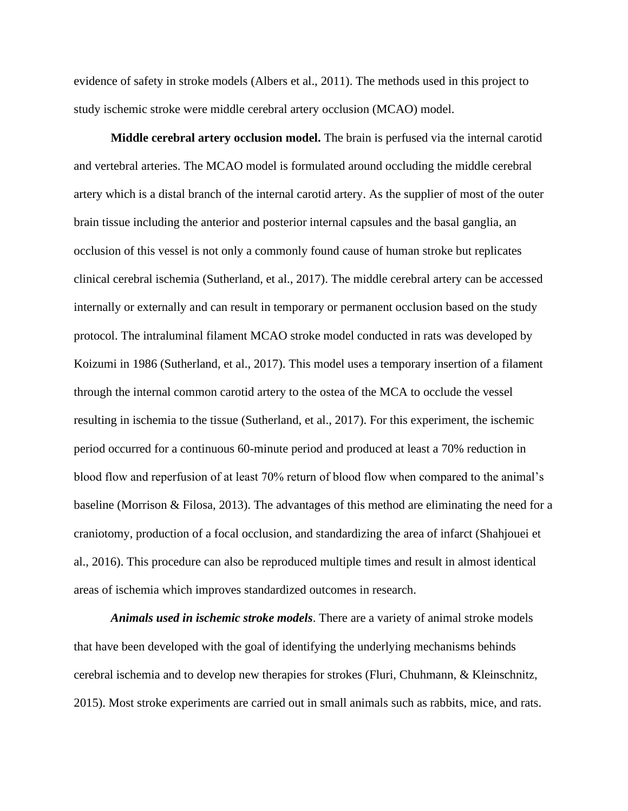evidence of safety in stroke models (Albers et al., 2011). The methods used in this project to study ischemic stroke were middle cerebral artery occlusion (MCAO) model.

**Middle cerebral artery occlusion model.** The brain is perfused via the internal carotid and vertebral arteries. The MCAO model is formulated around occluding the middle cerebral artery which is a distal branch of the internal carotid artery. As the supplier of most of the outer brain tissue including the anterior and posterior internal capsules and the basal ganglia, an occlusion of this vessel is not only a commonly found cause of human stroke but replicates clinical cerebral ischemia (Sutherland, et al., 2017). The middle cerebral artery can be accessed internally or externally and can result in temporary or permanent occlusion based on the study protocol. The intraluminal filament MCAO stroke model conducted in rats was developed by Koizumi in 1986 (Sutherland, et al., 2017). This model uses a temporary insertion of a filament through the internal common carotid artery to the ostea of the MCA to occlude the vessel resulting in ischemia to the tissue (Sutherland, et al., 2017). For this experiment, the ischemic period occurred for a continuous 60-minute period and produced at least a 70% reduction in blood flow and reperfusion of at least 70% return of blood flow when compared to the animal's baseline (Morrison & Filosa, 2013). The advantages of this method are eliminating the need for a craniotomy, production of a focal occlusion, and standardizing the area of infarct (Shahjouei et al., 2016). This procedure can also be reproduced multiple times and result in almost identical areas of ischemia which improves standardized outcomes in research.

*Animals used in ischemic stroke models*. There are a variety of animal stroke models that have been developed with the goal of identifying the underlying mechanisms behinds cerebral ischemia and to develop new therapies for strokes (Fluri, Chuhmann, & Kleinschnitz, 2015). Most stroke experiments are carried out in small animals such as rabbits, mice, and rats.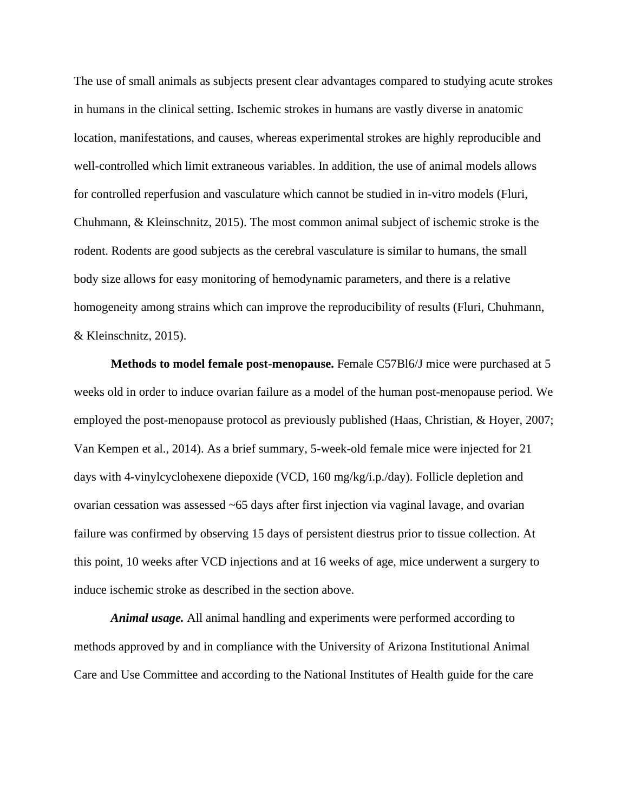The use of small animals as subjects present clear advantages compared to studying acute strokes in humans in the clinical setting. Ischemic strokes in humans are vastly diverse in anatomic location, manifestations, and causes, whereas experimental strokes are highly reproducible and well-controlled which limit extraneous variables. In addition, the use of animal models allows for controlled reperfusion and vasculature which cannot be studied in in-vitro models (Fluri, Chuhmann, & Kleinschnitz, 2015). The most common animal subject of ischemic stroke is the rodent. Rodents are good subjects as the cerebral vasculature is similar to humans, the small body size allows for easy monitoring of hemodynamic parameters, and there is a relative homogeneity among strains which can improve the reproducibility of results (Fluri, Chuhmann, & Kleinschnitz, 2015).

**Methods to model female post-menopause.** Female C57Bl6/J mice were purchased at 5 weeks old in order to induce ovarian failure as a model of the human post-menopause period. We employed the post-menopause protocol as previously published (Haas, Christian, & Hoyer, 2007; Van Kempen et al., 2014). As a brief summary, 5-week-old female mice were injected for 21 days with 4-vinylcyclohexene diepoxide (VCD, 160 mg/kg/i.p./day). Follicle depletion and ovarian cessation was assessed ~65 days after first injection via vaginal lavage, and ovarian failure was confirmed by observing 15 days of persistent diestrus prior to tissue collection. At this point, 10 weeks after VCD injections and at 16 weeks of age, mice underwent a surgery to induce ischemic stroke as described in the section above.

*Animal usage.* All animal handling and experiments were performed according to methods approved by and in compliance with the University of Arizona Institutional Animal Care and Use Committee and according to the National Institutes of Health guide for the care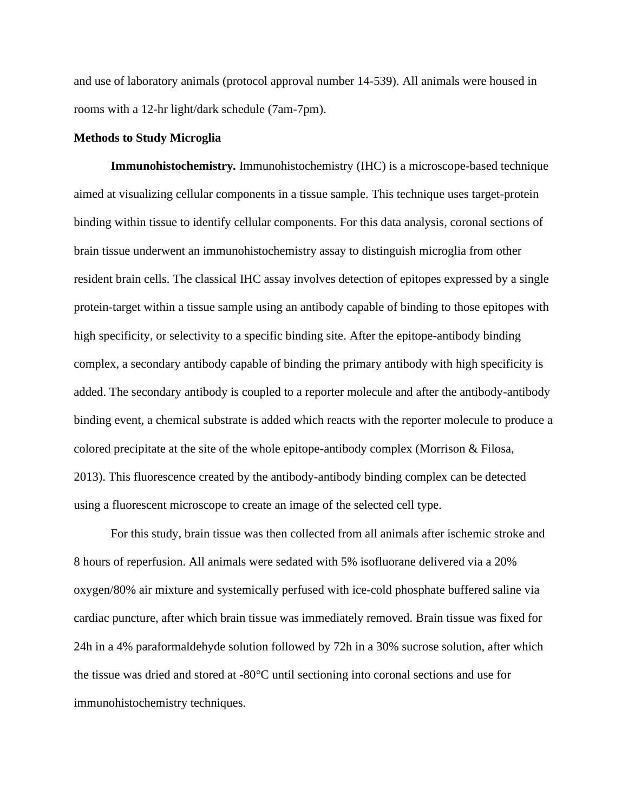and use of laboratory animals (protocol approval number 14-539). All animals were housed in rooms with a 12-hr light/dark schedule (7am-7pm).

## **Methods to Study Microglia**

**Immunohistochemistry***.* Immunohistochemistry (IHC) is a microscope-based technique aimed at visualizing cellular components in a tissue sample. This technique uses target-protein binding within tissue to identify cellular components. For this data analysis, coronal sections of brain tissue underwent an immunohistochemistry assay to distinguish microglia from other resident brain cells. The classical IHC assay involves detection of epitopes expressed by a single protein-target within a tissue sample using an antibody capable of binding to those epitopes with high specificity, or selectivity to a specific binding site. After the epitope-antibody binding complex, a secondary antibody capable of binding the primary antibody with high specificity is added. The secondary antibody is coupled to a reporter molecule and after the antibody-antibody binding event, a chemical substrate is added which reacts with the reporter molecule to produce a colored precipitate at the site of the whole epitope-antibody complex (Morrison & Filosa, 2013). This fluorescence created by the antibody-antibody binding complex can be detected using a fluorescent microscope to create an image of the selected cell type.

For this study, brain tissue was then collected from all animals after ischemic stroke and 8 hours of reperfusion. All animals were sedated with 5% isofluorane delivered via a 20% oxygen/80% air mixture and systemically perfused with ice-cold phosphate buffered saline via cardiac puncture, after which brain tissue was immediately removed. Brain tissue was fixed for 24h in a 4% paraformaldehyde solution followed by 72h in a 30% sucrose solution, after which the tissue was dried and stored at -80°C until sectioning into coronal sections and use for immunohistochemistry techniques.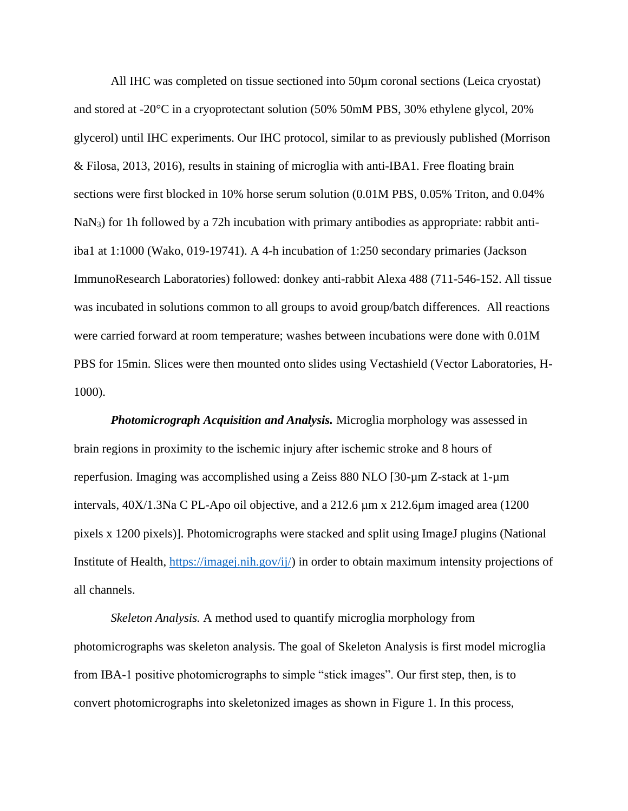All IHC was completed on tissue sectioned into 50µm coronal sections (Leica cryostat) and stored at -20°C in a cryoprotectant solution (50% 50mM PBS, 30% ethylene glycol, 20% glycerol) until IHC experiments. Our IHC protocol, similar to as previously published (Morrison & Filosa, 2013, 2016), results in staining of microglia with anti-IBA1. Free floating brain sections were first blocked in 10% horse serum solution (0.01M PBS, 0.05% Triton, and 0.04% NaN<sub>3</sub>) for 1h followed by a 72h incubation with primary antibodies as appropriate: rabbit antiiba1 at 1:1000 (Wako, 019-19741). A 4-h incubation of 1:250 secondary primaries (Jackson ImmunoResearch Laboratories) followed: donkey anti-rabbit Alexa 488 (711-546-152. All tissue was incubated in solutions common to all groups to avoid group/batch differences. All reactions were carried forward at room temperature; washes between incubations were done with 0.01M PBS for 15min. Slices were then mounted onto slides using Vectashield (Vector Laboratories, H-1000).

*Photomicrograph Acquisition and Analysis.* Microglia morphology was assessed in brain regions in proximity to the ischemic injury after ischemic stroke and 8 hours of reperfusion. Imaging was accomplished using a Zeiss 880 NLO [30-µm Z-stack at 1-µm intervals, 40X/1.3Na C PL-Apo oil objective, and a 212.6 µm x 212.6µm imaged area (1200 pixels x 1200 pixels)]. Photomicrographs were stacked and split using ImageJ plugins (National Institute of Health, [https://imagej.nih.gov/ij/\)](https://imagej.nih.gov/ij/) in order to obtain maximum intensity projections of all channels.

*Skeleton Analysis.* A method used to quantify microglia morphology from photomicrographs was skeleton analysis. The goal of Skeleton Analysis is first model microglia from IBA-1 positive photomicrographs to simple "stick images". Our first step, then, is to convert photomicrographs into skeletonized images as shown in Figure 1. In this process,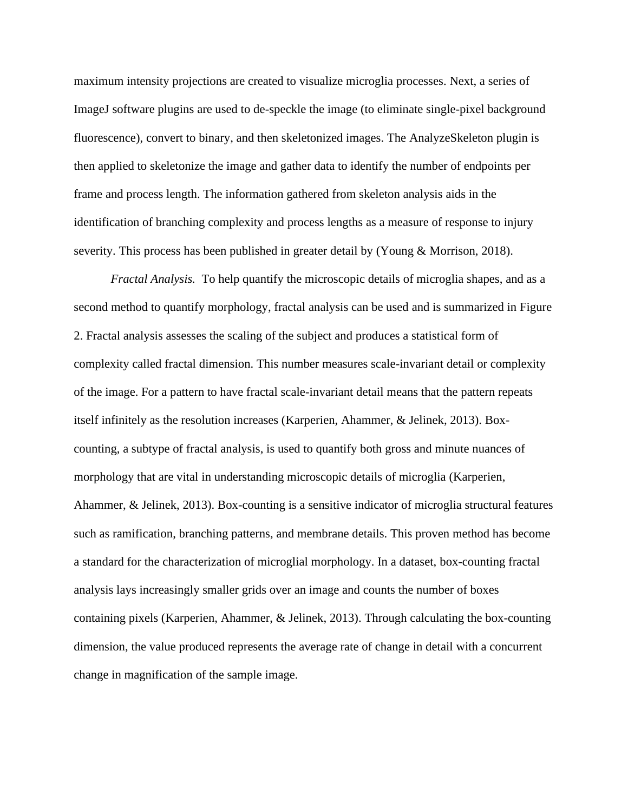maximum intensity projections are created to visualize microglia processes. Next, a series of ImageJ software plugins are used to de-speckle the image (to eliminate single-pixel background fluorescence), convert to binary, and then skeletonized images. The AnalyzeSkeleton plugin is then applied to skeletonize the image and gather data to identify the number of endpoints per frame and process length. The information gathered from skeleton analysis aids in the identification of branching complexity and process lengths as a measure of response to injury severity. This process has been published in greater detail by (Young & Morrison, 2018).

*Fractal Analysis.* To help quantify the microscopic details of microglia shapes, and as a second method to quantify morphology, fractal analysis can be used and is summarized in Figure 2. Fractal analysis assesses the scaling of the subject and produces a statistical form of complexity called fractal dimension. This number measures scale-invariant detail or complexity of the image. For a pattern to have fractal scale-invariant detail means that the pattern repeats itself infinitely as the resolution increases (Karperien, Ahammer, & Jelinek, 2013). Boxcounting, a subtype of fractal analysis, is used to quantify both gross and minute nuances of morphology that are vital in understanding microscopic details of microglia (Karperien, Ahammer, & Jelinek, 2013). Box-counting is a sensitive indicator of microglia structural features such as ramification, branching patterns, and membrane details. This proven method has become a standard for the characterization of microglial morphology. In a dataset, box-counting fractal analysis lays increasingly smaller grids over an image and counts the number of boxes containing pixels (Karperien, Ahammer, & Jelinek, 2013). Through calculating the box-counting dimension, the value produced represents the average rate of change in detail with a concurrent change in magnification of the sample image.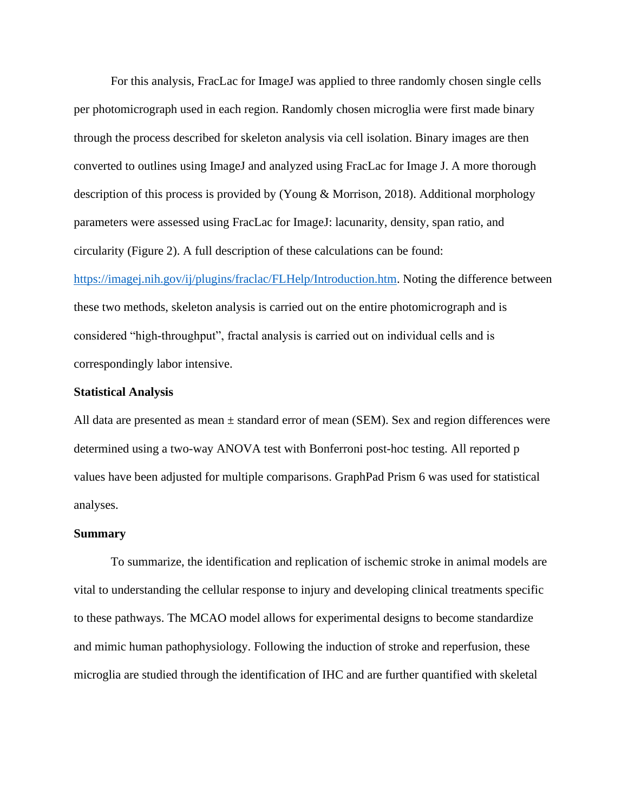For this analysis, FracLac for ImageJ was applied to three randomly chosen single cells per photomicrograph used in each region. Randomly chosen microglia were first made binary through the process described for skeleton analysis via cell isolation. Binary images are then converted to outlines using ImageJ and analyzed using FracLac for Image J. A more thorough description of this process is provided by (Young & Morrison, 2018). Additional morphology parameters were assessed using FracLac for ImageJ: lacunarity, density, span ratio, and circularity (Figure 2). A full description of these calculations can be found:

[https://imagej.nih.gov/ij/plugins/fraclac/FLHelp/Introduction.htm.](https://imagej.nih.gov/ij/plugins/fraclac/FLHelp/Introduction.htm) Noting the difference between these two methods, skeleton analysis is carried out on the entire photomicrograph and is considered "high-throughput", fractal analysis is carried out on individual cells and is correspondingly labor intensive.

# **Statistical Analysis**

All data are presented as mean  $\pm$  standard error of mean (SEM). Sex and region differences were determined using a two-way ANOVA test with Bonferroni post-hoc testing. All reported p values have been adjusted for multiple comparisons. GraphPad Prism 6 was used for statistical analyses.

#### **Summary**

To summarize, the identification and replication of ischemic stroke in animal models are vital to understanding the cellular response to injury and developing clinical treatments specific to these pathways. The MCAO model allows for experimental designs to become standardize and mimic human pathophysiology. Following the induction of stroke and reperfusion, these microglia are studied through the identification of IHC and are further quantified with skeletal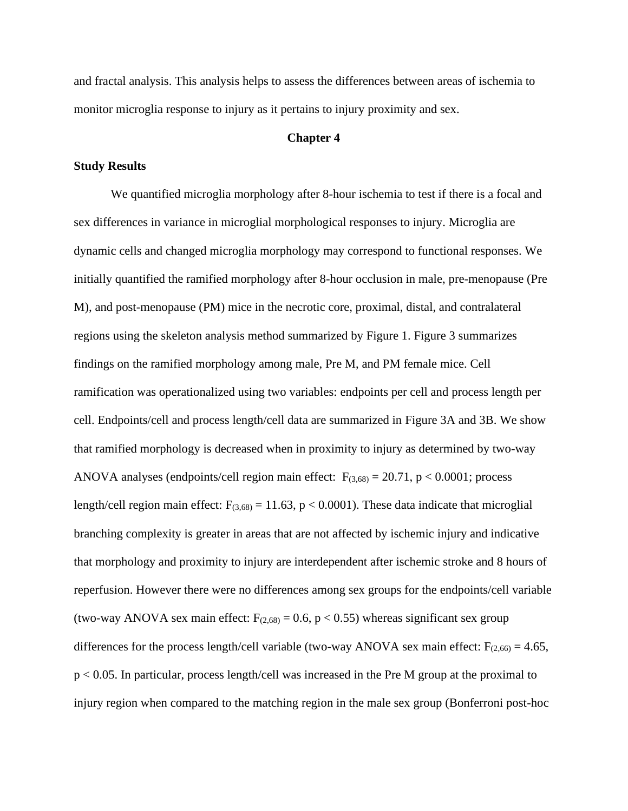and fractal analysis. This analysis helps to assess the differences between areas of ischemia to monitor microglia response to injury as it pertains to injury proximity and sex.

## **Chapter 4**

## **Study Results**

We quantified microglia morphology after 8-hour ischemia to test if there is a focal and sex differences in variance in microglial morphological responses to injury. Microglia are dynamic cells and changed microglia morphology may correspond to functional responses. We initially quantified the ramified morphology after 8-hour occlusion in male, pre-menopause (Pre M), and post-menopause (PM) mice in the necrotic core, proximal, distal, and contralateral regions using the skeleton analysis method summarized by Figure 1. Figure 3 summarizes findings on the ramified morphology among male, Pre M, and PM female mice. Cell ramification was operationalized using two variables: endpoints per cell and process length per cell. Endpoints/cell and process length/cell data are summarized in Figure 3A and 3B. We show that ramified morphology is decreased when in proximity to injury as determined by two-way ANOVA analyses (endpoints/cell region main effect:  $F_{(3,68)} = 20.71$ , p < 0.0001; process length/cell region main effect:  $F_{(3,68)} = 11.63$ , p < 0.0001). These data indicate that microglial branching complexity is greater in areas that are not affected by ischemic injury and indicative that morphology and proximity to injury are interdependent after ischemic stroke and 8 hours of reperfusion. However there were no differences among sex groups for the endpoints/cell variable (two-way ANOVA sex main effect:  $F_{(2,68)} = 0.6$ , p < 0.55) whereas significant sex group differences for the process length/cell variable (two-way ANOVA sex main effect:  $F_{(2,66)} = 4.65$ , p < 0.05. In particular, process length/cell was increased in the Pre M group at the proximal to injury region when compared to the matching region in the male sex group (Bonferroni post-hoc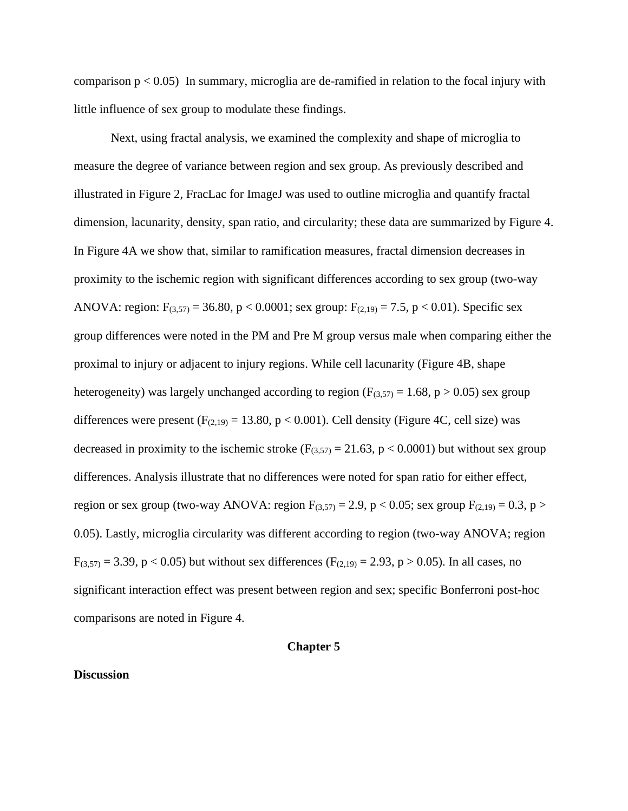comparison  $p < 0.05$ ) In summary, microglia are de-ramified in relation to the focal injury with little influence of sex group to modulate these findings.

Next, using fractal analysis, we examined the complexity and shape of microglia to measure the degree of variance between region and sex group. As previously described and illustrated in Figure 2, FracLac for ImageJ was used to outline microglia and quantify fractal dimension, lacunarity, density, span ratio, and circularity; these data are summarized by Figure 4. In Figure 4A we show that, similar to ramification measures, fractal dimension decreases in proximity to the ischemic region with significant differences according to sex group (two-way ANOVA: region:  $F_{(3,57)} = 36.80$ , p < 0.0001; sex group:  $F_{(2,19)} = 7.5$ , p < 0.01). Specific sex group differences were noted in the PM and Pre M group versus male when comparing either the proximal to injury or adjacent to injury regions. While cell lacunarity (Figure 4B, shape heterogeneity) was largely unchanged according to region ( $F_{(3,57)} = 1.68$ ,  $p > 0.05$ ) sex group differences were present  $(F<sub>(2,19)</sub> = 13.80, p < 0.001)$ . Cell density (Figure 4C, cell size) was decreased in proximity to the ischemic stroke ( $F_{(3,57)} = 21.63$ ,  $p < 0.0001$ ) but without sex group differences. Analysis illustrate that no differences were noted for span ratio for either effect, region or sex group (two-way ANOVA: region  $F_{(3,57)} = 2.9$ , p < 0.05; sex group  $F_{(2,19)} = 0.3$ , p > 0.05). Lastly, microglia circularity was different according to region (two-way ANOVA; region  $F_{(3,57)} = 3.39$ , p < 0.05) but without sex differences ( $F_{(2,19)} = 2.93$ , p > 0.05). In all cases, no significant interaction effect was present between region and sex; specific Bonferroni post-hoc comparisons are noted in Figure 4.

# **Chapter 5**

#### **Discussion**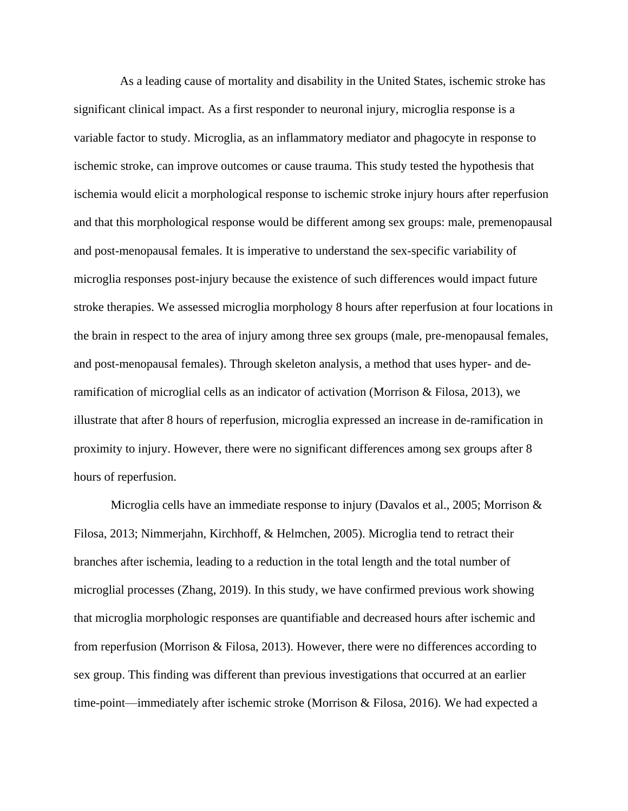As a leading cause of mortality and disability in the United States, ischemic stroke has significant clinical impact. As a first responder to neuronal injury, microglia response is a variable factor to study. Microglia, as an inflammatory mediator and phagocyte in response to ischemic stroke, can improve outcomes or cause trauma. This study tested the hypothesis that ischemia would elicit a morphological response to ischemic stroke injury hours after reperfusion and that this morphological response would be different among sex groups: male, premenopausal and post-menopausal females. It is imperative to understand the sex-specific variability of microglia responses post-injury because the existence of such differences would impact future stroke therapies. We assessed microglia morphology 8 hours after reperfusion at four locations in the brain in respect to the area of injury among three sex groups (male, pre-menopausal females, and post-menopausal females). Through skeleton analysis, a method that uses hyper- and deramification of microglial cells as an indicator of activation (Morrison & Filosa, 2013), we illustrate that after 8 hours of reperfusion, microglia expressed an increase in de-ramification in proximity to injury. However, there were no significant differences among sex groups after 8 hours of reperfusion.

 Microglia cells have an immediate response to injury (Davalos et al., 2005; Morrison & Filosa, 2013; Nimmerjahn, Kirchhoff, & Helmchen, 2005). Microglia tend to retract their branches after ischemia, leading to a reduction in the total length and the total number of microglial processes (Zhang, 2019). In this study, we have confirmed previous work showing that microglia morphologic responses are quantifiable and decreased hours after ischemic and from reperfusion (Morrison & Filosa, 2013). However, there were no differences according to sex group. This finding was different than previous investigations that occurred at an earlier time-point—immediately after ischemic stroke (Morrison & Filosa, 2016). We had expected a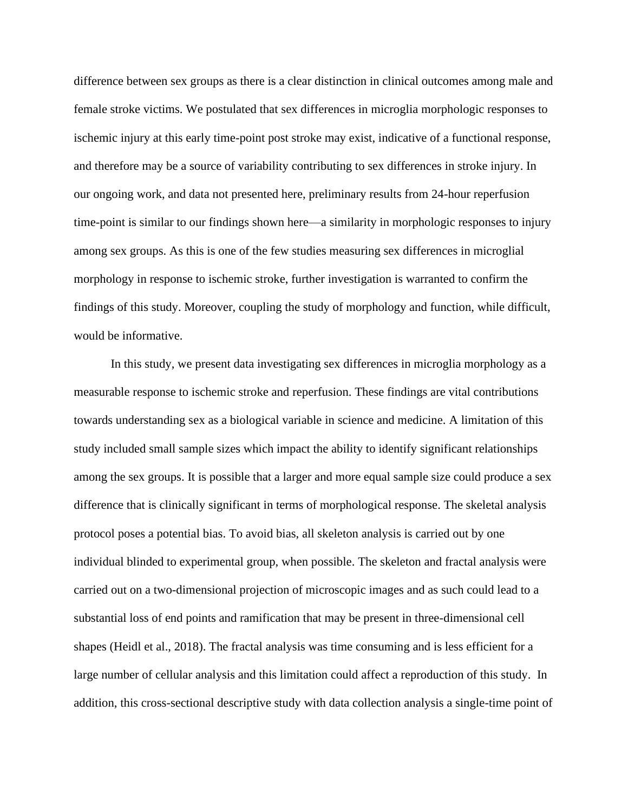difference between sex groups as there is a clear distinction in clinical outcomes among male and female stroke victims. We postulated that sex differences in microglia morphologic responses to ischemic injury at this early time-point post stroke may exist, indicative of a functional response, and therefore may be a source of variability contributing to sex differences in stroke injury. In our ongoing work, and data not presented here, preliminary results from 24-hour reperfusion time-point is similar to our findings shown here—a similarity in morphologic responses to injury among sex groups. As this is one of the few studies measuring sex differences in microglial morphology in response to ischemic stroke, further investigation is warranted to confirm the findings of this study. Moreover, coupling the study of morphology and function, while difficult, would be informative.

 In this study, we present data investigating sex differences in microglia morphology as a measurable response to ischemic stroke and reperfusion. These findings are vital contributions towards understanding sex as a biological variable in science and medicine. A limitation of this study included small sample sizes which impact the ability to identify significant relationships among the sex groups. It is possible that a larger and more equal sample size could produce a sex difference that is clinically significant in terms of morphological response. The skeletal analysis protocol poses a potential bias. To avoid bias, all skeleton analysis is carried out by one individual blinded to experimental group, when possible. The skeleton and fractal analysis were carried out on a two-dimensional projection of microscopic images and as such could lead to a substantial loss of end points and ramification that may be present in three-dimensional cell shapes (Heidl et al., 2018). The fractal analysis was time consuming and is less efficient for a large number of cellular analysis and this limitation could affect a reproduction of this study. In addition, this cross-sectional descriptive study with data collection analysis a single-time point of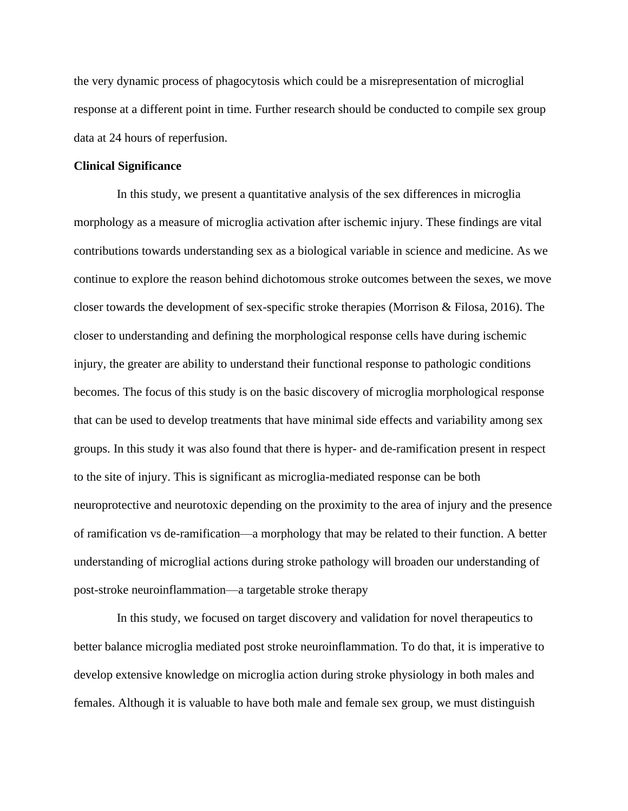the very dynamic process of phagocytosis which could be a misrepresentation of microglial response at a different point in time. Further research should be conducted to compile sex group data at 24 hours of reperfusion.

## **Clinical Significance**

 In this study, we present a quantitative analysis of the sex differences in microglia morphology as a measure of microglia activation after ischemic injury. These findings are vital contributions towards understanding sex as a biological variable in science and medicine. As we continue to explore the reason behind dichotomous stroke outcomes between the sexes, we move closer towards the development of sex-specific stroke therapies (Morrison & Filosa, 2016). The closer to understanding and defining the morphological response cells have during ischemic injury, the greater are ability to understand their functional response to pathologic conditions becomes. The focus of this study is on the basic discovery of microglia morphological response that can be used to develop treatments that have minimal side effects and variability among sex groups. In this study it was also found that there is hyper- and de-ramification present in respect to the site of injury. This is significant as microglia-mediated response can be both neuroprotective and neurotoxic depending on the proximity to the area of injury and the presence of ramification vs de-ramification—a morphology that may be related to their function. A better understanding of microglial actions during stroke pathology will broaden our understanding of post-stroke neuroinflammation—a targetable stroke therapy

 In this study, we focused on target discovery and validation for novel therapeutics to better balance microglia mediated post stroke neuroinflammation. To do that, it is imperative to develop extensive knowledge on microglia action during stroke physiology in both males and females. Although it is valuable to have both male and female sex group, we must distinguish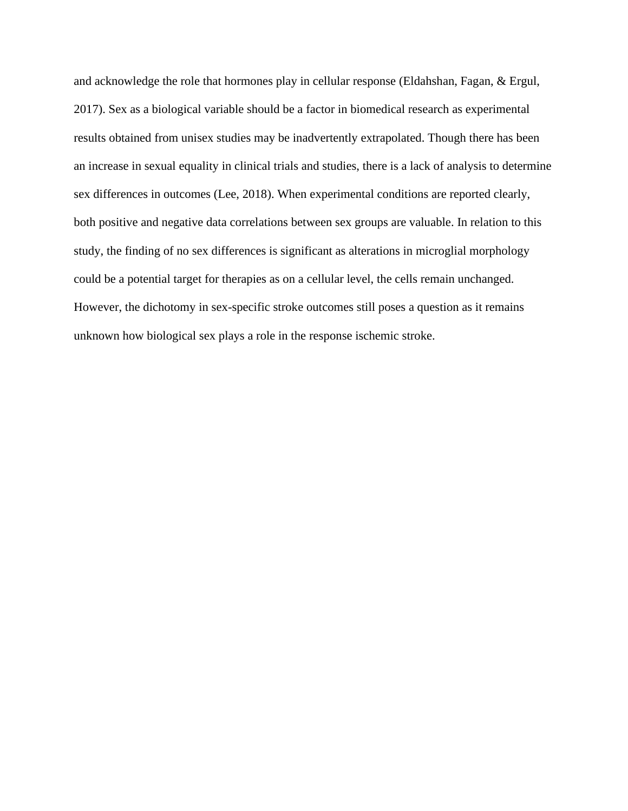and acknowledge the role that hormones play in cellular response (Eldahshan, Fagan, & Ergul, 2017). Sex as a biological variable should be a factor in biomedical research as experimental results obtained from unisex studies may be inadvertently extrapolated. Though there has been an increase in sexual equality in clinical trials and studies, there is a lack of analysis to determine sex differences in outcomes (Lee, 2018). When experimental conditions are reported clearly, both positive and negative data correlations between sex groups are valuable. In relation to this study, the finding of no sex differences is significant as alterations in microglial morphology could be a potential target for therapies as on a cellular level, the cells remain unchanged. However, the dichotomy in sex-specific stroke outcomes still poses a question as it remains unknown how biological sex plays a role in the response ischemic stroke.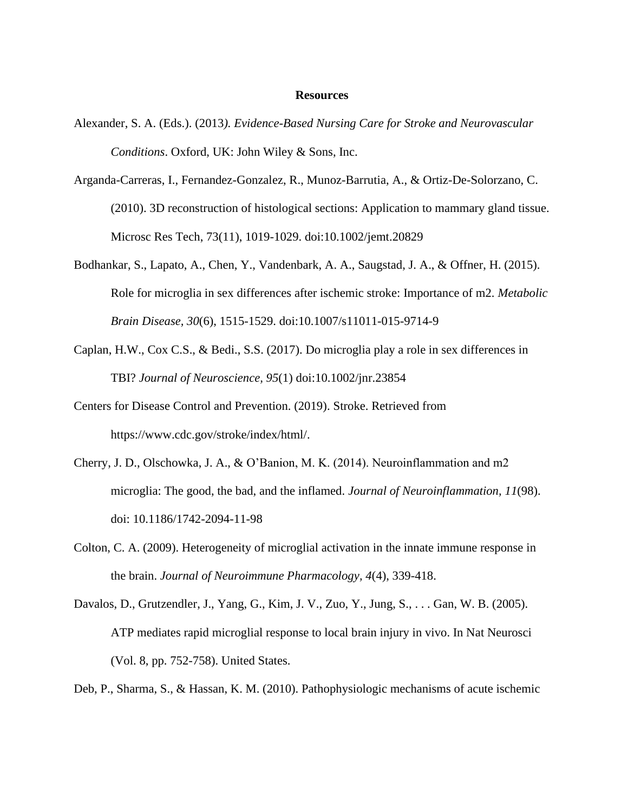#### **Resources**

- Alexander, S. A. (Eds.). (2013*). Evidence-Based Nursing Care for Stroke and Neurovascular Conditions*. Oxford, UK: John Wiley & Sons, Inc.
- Arganda-Carreras, I., Fernandez-Gonzalez, R., Munoz-Barrutia, A., & Ortiz-De-Solorzano, C. (2010). 3D reconstruction of histological sections: Application to mammary gland tissue. Microsc Res Tech, 73(11), 1019-1029. doi:10.1002/jemt.20829
- Bodhankar, S., Lapato, A., Chen, Y., Vandenbark, A. A., Saugstad, J. A., & Offner, H. (2015). Role for microglia in sex differences after ischemic stroke: Importance of m2. *Metabolic Brain Disease, 30*(6), 1515-1529. doi:10.1007/s11011-015-9714-9
- Caplan, H.W., Cox C.S., & Bedi., S.S. (2017). Do microglia play a role in sex differences in TBI? *Journal of Neuroscience, 95*(1) doi:10.1002/jnr.23854
- Centers for Disease Control and Prevention. (2019). Stroke. Retrieved from [https://www.cdc.gov/stroke/index/html/.](https://www.cdc.gov/stroke/index/html/)
- Cherry, J. D., Olschowka, J. A., & O'Banion, M. K. (2014). Neuroinflammation and m2 microglia: The good, the bad, and the inflamed. *Journal of Neuroinflammation, 11*(98). doi: 10.1186/1742-2094-11-98
- Colton, C. A. (2009). Heterogeneity of microglial activation in the innate immune response in the brain. *Journal of Neuroimmune Pharmacology, 4*(4), 339-418.
- Davalos, D., Grutzendler, J., Yang, G., Kim, J. V., Zuo, Y., Jung, S., . . . Gan, W. B. (2005). ATP mediates rapid microglial response to local brain injury in vivo. In Nat Neurosci (Vol. 8, pp. 752-758). United States.

Deb, P., Sharma, S., & Hassan, K. M. (2010). Pathophysiologic mechanisms of acute ischemic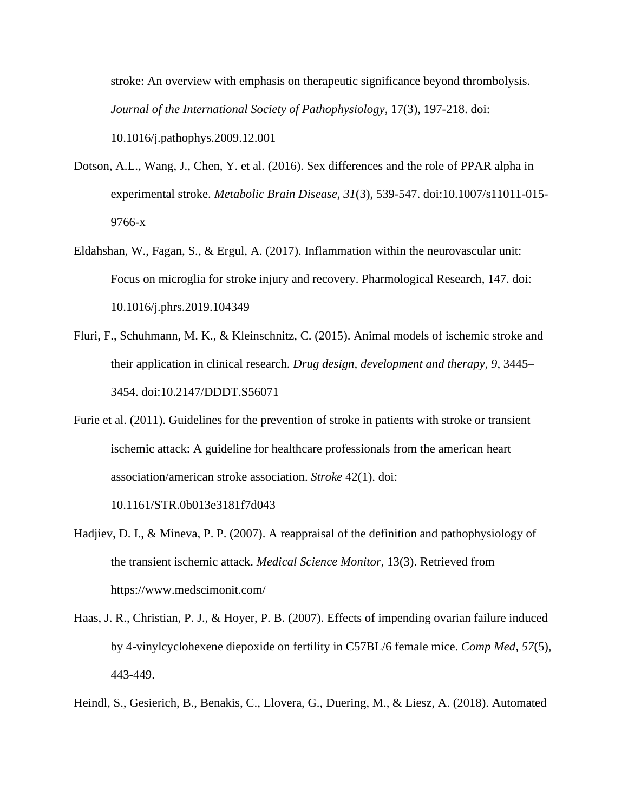stroke: An overview with emphasis on therapeutic significance beyond thrombolysis. *Journal of the International Society of Pathophysiology*, 17(3), 197-218. doi: [10.1016/j.pathophys.2009.12.001](https://doi.org/10.1016/j.pathophys.2009.12.001)

- Dotson, A.L., Wang, J., Chen, Y. et al. (2016). Sex differences and the role of PPAR alpha in experimental stroke. *Metabolic Brain Disease, 31*(3), 539-547. doi:10.1007/s11011-015- 9766-x
- Eldahshan, W., Fagan, S., & Ergul, A. (2017). Inflammation within the neurovascular unit: Focus on microglia for stroke injury and recovery. Pharmological Research, 147. doi: 10.1016/j.phrs.2019.104349
- Fluri, F., Schuhmann, M. K., & Kleinschnitz, C. (2015). Animal models of ischemic stroke and their application in clinical research. *Drug design, development and therapy*, *9*, 3445– 3454. doi:10.2147/DDDT.S56071
- Furie et al. (2011). Guidelines for the prevention of stroke in patients with stroke or transient ischemic attack: A guideline for healthcare professionals from the american heart association/american stroke association. *Stroke* 42(1). doi:

10.1161/STR.0b013e3181f7d043

- Hadjiev, D. I., & Mineva, P. P. (2007). A reappraisal of the definition and pathophysiology of the transient ischemic attack. *Medical Science Monitor*, 13(3). Retrieved from https://www.medscimonit.com/
- Haas, J. R., Christian, P. J., & Hoyer, P. B. (2007). Effects of impending ovarian failure induced by 4-vinylcyclohexene diepoxide on fertility in C57BL/6 female mice. *Comp Med, 57*(5), 443-449.
- Heindl, S., Gesierich, B., Benakis, C., Llovera, G., Duering, M., & Liesz, A. (2018). Automated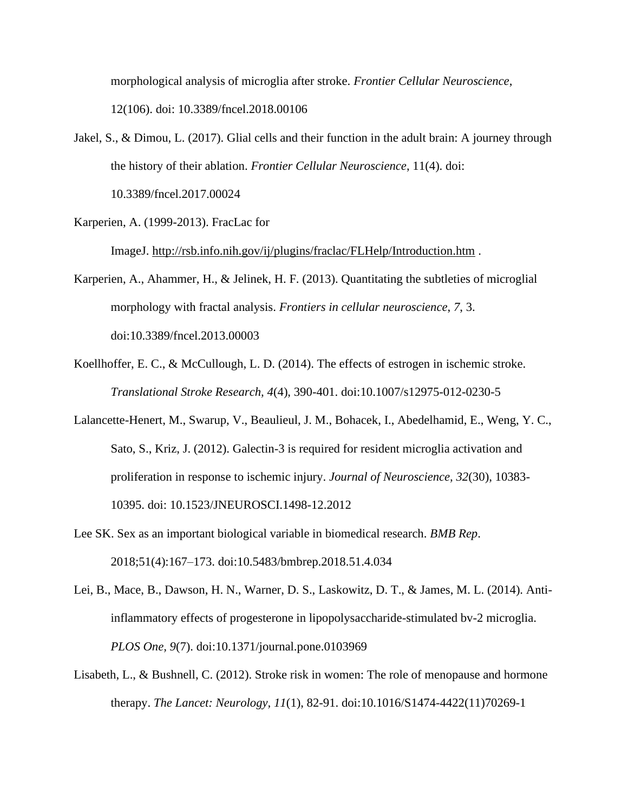morphological analysis of microglia after stroke. *Frontier Cellular Neuroscience*, 12(106). doi: 10.3389/fncel.2018.00106

- Jakel, S., & Dimou, L. (2017). Glial cells and their function in the adult brain: A journey through the history of their ablation. *Frontier Cellular Neuroscience*, 11(4). doi: [10.3389/fncel.2017.00024](https://dx.doi.org/10.3389%2Ffncel.2017.00024)
- Karperien, A. (1999-2013). FracLac for

ImageJ. <http://rsb.info.nih.gov/ij/plugins/fraclac/FLHelp/Introduction.htm> .

- Karperien, A., Ahammer, H., & Jelinek, H. F. (2013). Quantitating the subtleties of microglial morphology with fractal analysis. *Frontiers in cellular neuroscience*, *7*, 3. doi:10.3389/fncel.2013.00003
- Koellhoffer, E. C., & McCullough, L. D. (2014). The effects of estrogen in ischemic stroke. *Translational Stroke Research, 4*(4), 390-401. doi[:10.1007/s12975-012-0230-5](https://dx.doi.org/10.1007%2Fs12975-012-0230-5)
- Lalancette-Henert, M., Swarup, V., Beaulieul, J. M., Bohacek, I., Abedelhamid, E., Weng, Y. C., Sato, S., Kriz, J. (2012). Galectin-3 is required for resident microglia activation and proliferation in response to ischemic injury. *Journal of Neuroscience, 32*(30), 10383- 10395. doi: 10.1523/JNEUROSCI.1498-12.2012
- Lee SK. Sex as an important biological variable in biomedical research. *BMB Rep*. 2018;51(4):167–173. doi:10.5483/bmbrep.2018.51.4.034
- Lei, B., Mace, B., Dawson, H. N., Warner, D. S., Laskowitz, D. T., & James, M. L. (2014). Antiinflammatory effects of progesterone in lipopolysaccharide-stimulated bv-2 microglia. *PLOS One, 9*(7). doi[:10.1371/journal.pone.0103969](https://dx.doi.org/10.1371%2Fjournal.pone.0103969)
- Lisabeth, L., & Bushnell, C. (2012). Stroke risk in women: The role of menopause and hormone therapy. *The Lancet: Neurology, 11*(1), 82-91. doi[:10.1016/S1474-4422\(11\)70269-1](https://doi.org/10.1016/S1474-4422(11)70269-1)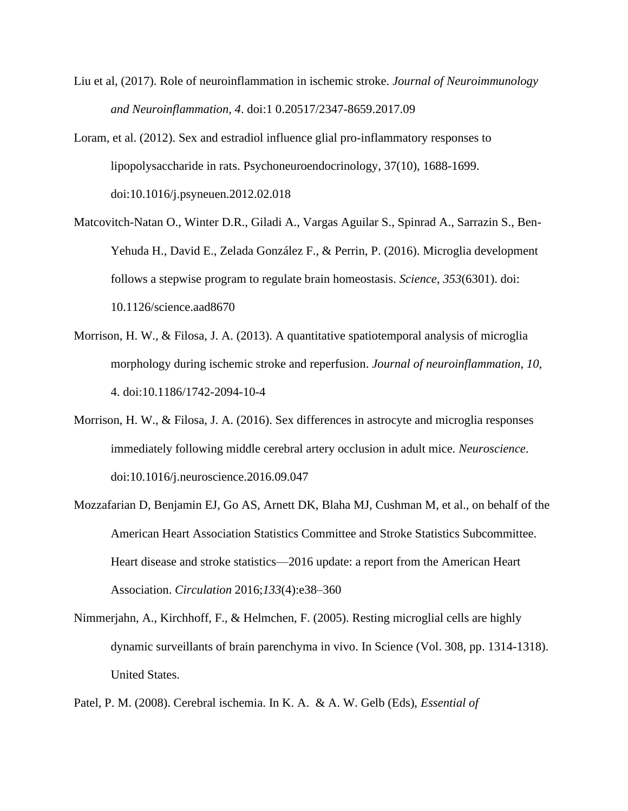- Liu et al, (2017). Role of neuroinflammation in ischemic stroke. *Journal of Neuroimmunology and Neuroinflammation, 4*. doi:1 0.20517/2347-8659.2017.09
- Loram, et al. (2012). Sex and estradiol influence glial pro-inflammatory responses to lipopolysaccharide in rats. Psychoneuroendocrinology, 37(10), 1688-1699. doi:10.1016/j.psyneuen.2012.02.018
- Matcovitch-Natan O., Winter D.R., Giladi A., Vargas Aguilar S., Spinrad A., Sarrazin S., Ben-Yehuda H., David E., Zelada González F., & Perrin, P. (2016). Microglia development follows a stepwise program to regulate brain homeostasis. *Science, 353*(6301). doi: 10.1126/science.aad8670
- Morrison, H. W., & Filosa, J. A. (2013). A quantitative spatiotemporal analysis of microglia morphology during ischemic stroke and reperfusion. *Journal of neuroinflammation*, *10*, 4. doi:10.1186/1742-2094-10-4
- Morrison, H. W., & Filosa, J. A. (2016). Sex differences in astrocyte and microglia responses immediately following middle cerebral artery occlusion in adult mice. *Neuroscience*. doi:10.1016/j.neuroscience.2016.09.047
- Mozzafarian D, Benjamin EJ, Go AS, Arnett DK, Blaha MJ, Cushman M, et al., on behalf of the American Heart Association Statistics Committee and Stroke Statistics Subcommittee. Heart disease and stroke statistics—2016 update: a report from the American Heart Association. *Circulation* 2016;*133*(4):e38–360
- Nimmerjahn, A., Kirchhoff, F., & Helmchen, F. (2005). Resting microglial cells are highly dynamic surveillants of brain parenchyma in vivo. In Science (Vol. 308, pp. 1314-1318). United States.

Patel, P. M. (2008). Cerebral ischemia. In K. A. & A. W. Gelb (Eds), *Essential of*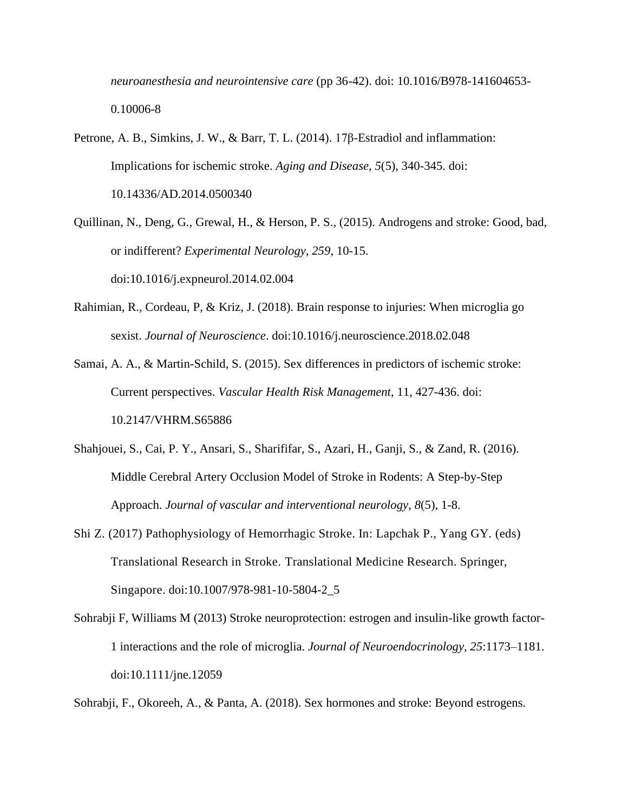*neuroanesthesia and neurointensive care* (pp 36-42). doi: [10.1016/B978-141604653-](https://doi.org/10.1016/B978-141604653-0.10006-8) [0.10006-8](https://doi.org/10.1016/B978-141604653-0.10006-8)

- Petrone, A. B., Simkins, J. W., & Barr, T. L. (2014). 17β-Estradiol and inflammation: Implications for ischemic stroke. *Aging and Disease, 5*(5), 340-345. doi: [10.14336/AD.2014.0500340](https://dx.doi.org/10.14336%2FAD.2014.0500340)
- Quillinan, N., Deng, G., Grewal, H., & Herson, P. S., (2015). Androgens and stroke: Good, bad, or indifferent? *Experimental Neurology, 259*, 10-15. doi:[10.1016/j.expneurol.2014.02.004](https://doi.org/10.1016/j.expneurol.2014.02.004)
- Rahimian, R., Cordeau, P, & Kriz, J. (2018). Brain response to injuries: When microglia go sexist. *Journal of Neuroscience*. doi:10.1016/j.neuroscience.2018.02.048
- Samai, A. A., & Martin-Schild, S. (2015). Sex differences in predictors of ischemic stroke: Current perspectives. *Vascular Health Risk Management*, 11, 427-436. doi: [10.2147/VHRM.S65886](https://dx.doi.org/10.2147%2FVHRM.S65886)
- Shahjouei, S., Cai, P. Y., Ansari, S., Sharififar, S., Azari, H., Ganji, S., & Zand, R. (2016). Middle Cerebral Artery Occlusion Model of Stroke in Rodents: A Step-by-Step Approach. *Journal of vascular and interventional neurology*, *8*(5), 1-8.
- Shi Z. (2017) Pathophysiology of Hemorrhagic Stroke. In: Lapchak P., Yang GY. (eds) Translational Research in Stroke. Translational Medicine Research. Springer, Singapore. doi:10.1007/978-981-10-5804-2\_5
- Sohrabji F, Williams M (2013) Stroke neuroprotection: estrogen and insulin-like growth factor-1 interactions and the role of microglia. *Journal of Neuroendocrinology, 25*:1173–1181. doi[:10.1111/jne.12059](https://doi.org/10.1111/jne.12059)

Sohrabji, F., Okoreeh, A., & Panta, A. (2018). Sex hormones and stroke: Beyond estrogens.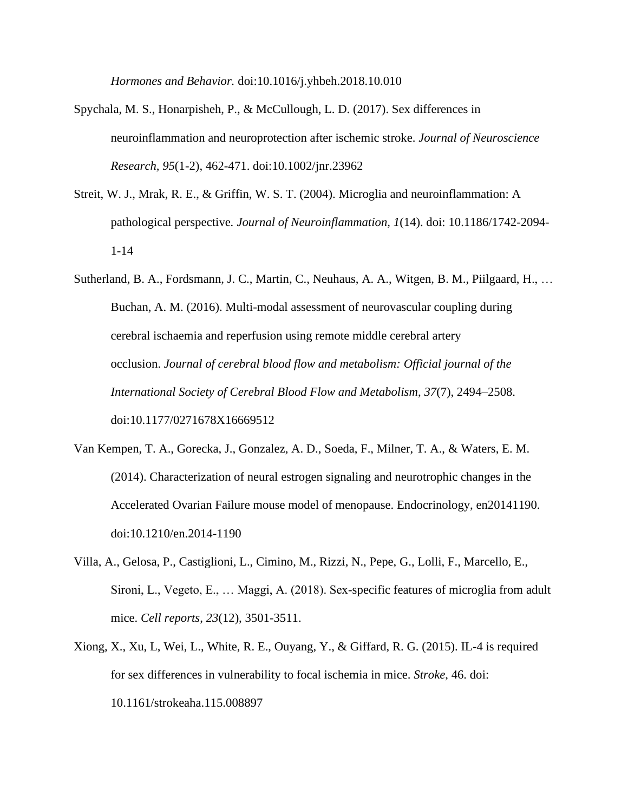*Hormones and Behavior.* doi[:10.1016/j.yhbeh.2018.10.010](https://doi.org/10.1016/j.yhbeh.2018.10.010)

- Spychala, M. S., Honarpisheh, P., & McCullough, L. D. (2017). Sex differences in neuroinflammation and neuroprotection after ischemic stroke. *Journal of Neuroscience Research, 95*(1-2), 462-471. doi[:10.1002/jnr.23962](https://dx.doi.org/10.1002%2Fjnr.23962)
- Streit, W. J., Mrak, R. E., & Griffin, W. S. T. (2004). Microglia and neuroinflammation: A pathological perspective*. Journal of Neuroinflammation, 1*(14). doi: 10.1186/1742-2094- 1-14
- Sutherland, B. A., Fordsmann, J. C., Martin, C., Neuhaus, A. A., Witgen, B. M., Piilgaard, H., … Buchan, A. M. (2016). Multi-modal assessment of neurovascular coupling during cerebral ischaemia and reperfusion using remote middle cerebral artery occlusion. *Journal of cerebral blood flow and metabolism: Official journal of the International Society of Cerebral Blood Flow and Metabolism*, *37*(7), 2494–2508. doi:10.1177/0271678X16669512
- Van Kempen, T. A., Gorecka, J., Gonzalez, A. D., Soeda, F., Milner, T. A., & Waters, E. M. (2014). Characterization of neural estrogen signaling and neurotrophic changes in the Accelerated Ovarian Failure mouse model of menopause. Endocrinology, en20141190. doi:10.1210/en.2014-1190
- Villa, A., Gelosa, P., Castiglioni, L., Cimino, M., Rizzi, N., Pepe, G., Lolli, F., Marcello, E., Sironi, L., Vegeto, E., … Maggi, A. (2018). Sex-specific features of microglia from adult mice. *Cell reports*, *23*(12), 3501-3511.
- Xiong, X., Xu, L, Wei, L., White, R. E., Ouyang, Y., & Giffard, R. G. (2015). IL-4 is required for sex differences in vulnerability to focal ischemia in mice. *Stroke*, 46. doi: 10.1161/strokeaha.115.008897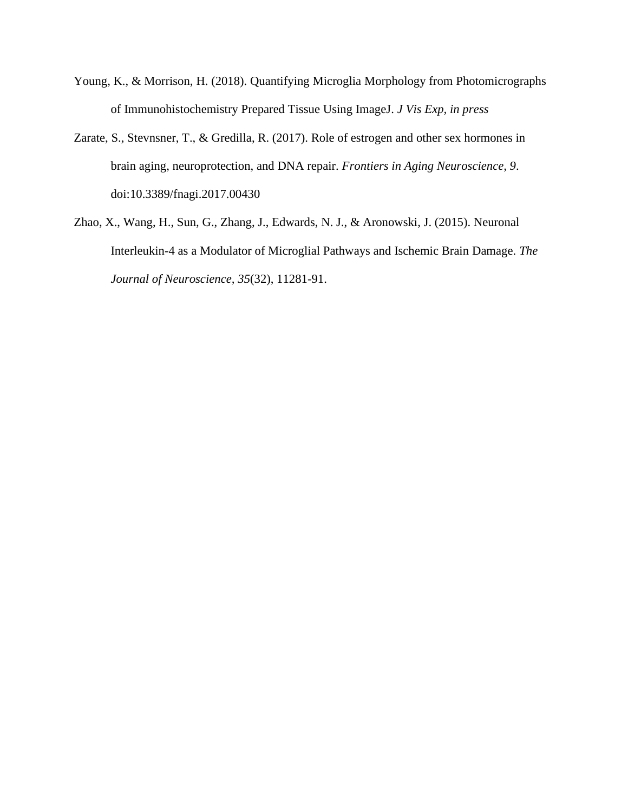- Young, K., & Morrison, H. (2018). Quantifying Microglia Morphology from Photomicrographs of Immunohistochemistry Prepared Tissue Using ImageJ. *J Vis Exp, in press*
- Zarate, S., Stevnsner, T., & Gredilla, R. (2017). Role of estrogen and other sex hormones in brain aging, neuroprotection, and DNA repair. *Frontiers in Aging Neuroscience, 9*. doi[:10.3389/fnagi.2017.00430](https://dx.doi.org/10.3389%2Ffnagi.2017.00430)
- Zhao, X., Wang, H., Sun, G., Zhang, J., Edwards, N. J., & Aronowski, J. (2015). Neuronal Interleukin-4 as a Modulator of Microglial Pathways and Ischemic Brain Damage. *The Journal of Neuroscience, 35*(32), 11281-91.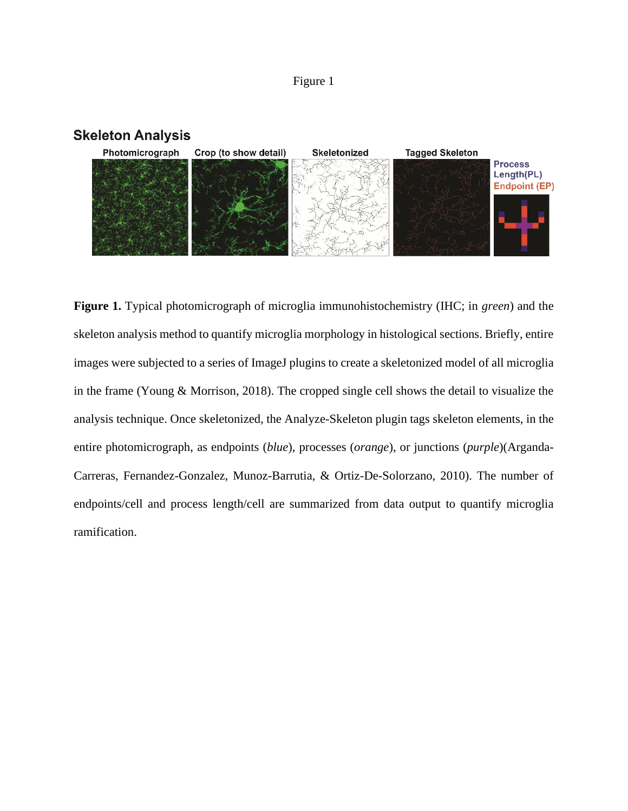# Figure 1





**Figure 1.** Typical photomicrograph of microglia immunohistochemistry (IHC; in *green*) and the skeleton analysis method to quantify microglia morphology in histological sections. Briefly, entire images were subjected to a series of ImageJ plugins to create a skeletonized model of all microglia in the frame (Young & Morrison, 2018). The cropped single cell shows the detail to visualize the analysis technique. Once skeletonized, the Analyze-Skeleton plugin tags skeleton elements, in the entire photomicrograph, as endpoints (*blue*), processes (*orange*), or junctions (*purple*)(Arganda-Carreras, Fernandez-Gonzalez, Munoz-Barrutia, & Ortiz-De-Solorzano, 2010). The number of endpoints/cell and process length/cell are summarized from data output to quantify microglia ramification.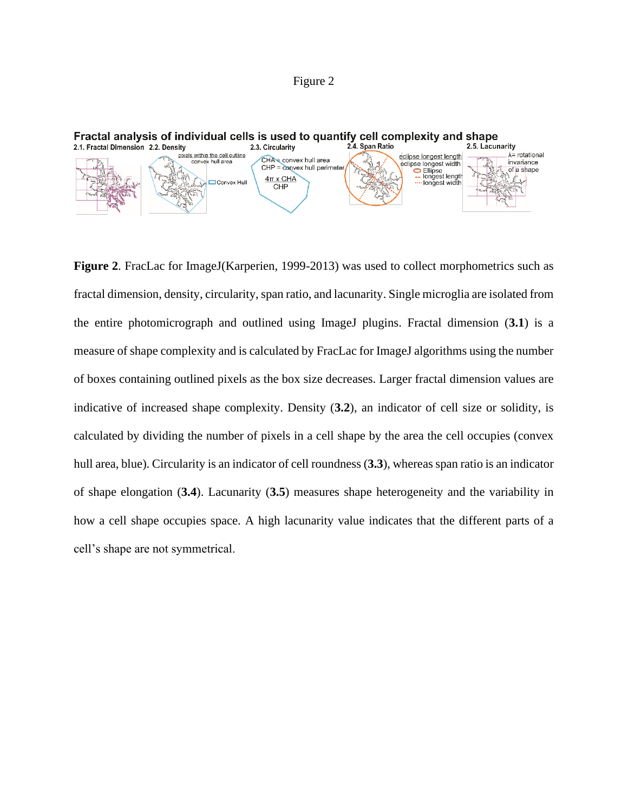# Figure 2



**Figure 2**. FracLac for ImageJ(Karperien, 1999-2013) was used to collect morphometrics such as fractal dimension, density, circularity, span ratio, and lacunarity. Single microglia are isolated from the entire photomicrograph and outlined using ImageJ plugins. Fractal dimension (**3.1**) is a measure of shape complexity and is calculated by FracLac for ImageJ algorithms using the number of boxes containing outlined pixels as the box size decreases. Larger fractal dimension values are indicative of increased shape complexity. Density (**3.2**), an indicator of cell size or solidity, is calculated by dividing the number of pixels in a cell shape by the area the cell occupies (convex hull area, blue). Circularity is an indicator of cell roundness (**3.3**), whereas span ratio is an indicator of shape elongation (**3.4**). Lacunarity (**3.5**) measures shape heterogeneity and the variability in how a cell shape occupies space. A high lacunarity value indicates that the different parts of a cell's shape are not symmetrical.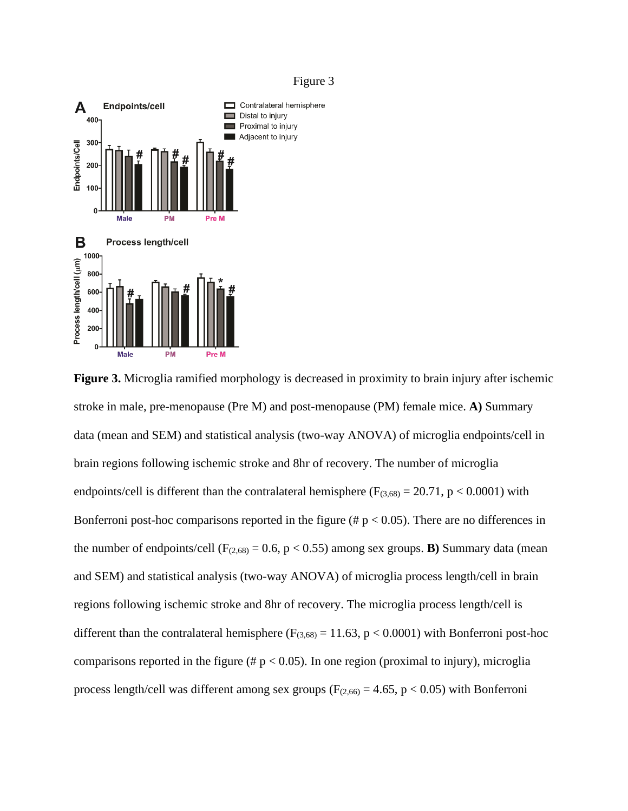

**Figure 3.** Microglia ramified morphology is decreased in proximity to brain injury after ischemic stroke in male, pre-menopause (Pre M) and post-menopause (PM) female mice. **A)** Summary data (mean and SEM) and statistical analysis (two-way ANOVA) of microglia endpoints/cell in brain regions following ischemic stroke and 8hr of recovery. The number of microglia endpoints/cell is different than the contralateral hemisphere ( $F_{(3,68)} = 20.71$ ,  $p < 0.0001$ ) with Bonferroni post-hoc comparisons reported in the figure ( $\# p < 0.05$ ). There are no differences in the number of endpoints/cell  $(F_{(2,68)} = 0.6, p < 0.55)$  among sex groups. **B**) Summary data (mean and SEM) and statistical analysis (two-way ANOVA) of microglia process length/cell in brain regions following ischemic stroke and 8hr of recovery. The microglia process length/cell is different than the contralateral hemisphere ( $F_{(3,68)} = 11.63$ ,  $p < 0.0001$ ) with Bonferroni post-hoc comparisons reported in the figure (# $p < 0.05$ ). In one region (proximal to injury), microglia process length/cell was different among sex groups ( $F_{(2,66)} = 4.65$ , p < 0.05) with Bonferroni

#### Figure 3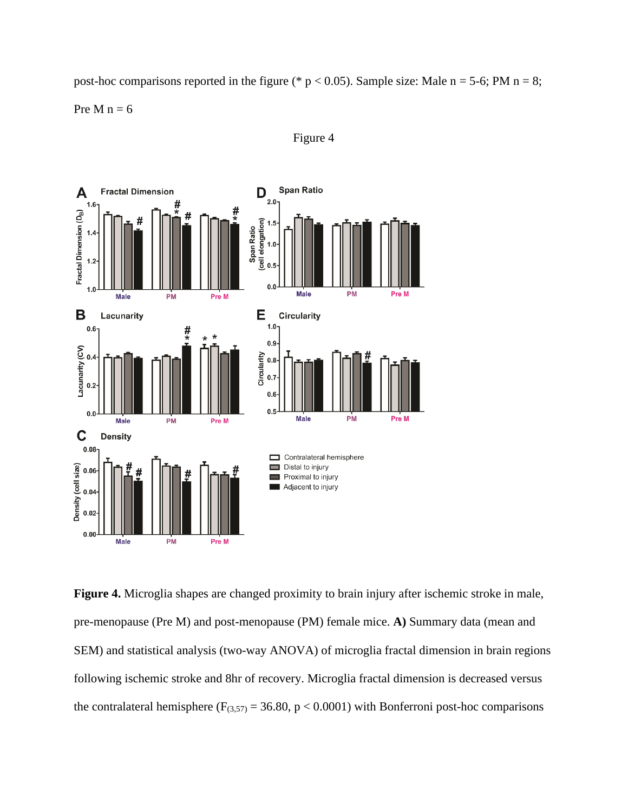post-hoc comparisons reported in the figure (\*  $p < 0.05$ ). Sample size: Male  $n = 5-6$ ; PM  $n = 8$ ; Pre M  $n = 6$ 





**Figure 4.** Microglia shapes are changed proximity to brain injury after ischemic stroke in male, pre-menopause (Pre M) and post-menopause (PM) female mice. **A)** Summary data (mean and SEM) and statistical analysis (two-way ANOVA) of microglia fractal dimension in brain regions following ischemic stroke and 8hr of recovery. Microglia fractal dimension is decreased versus the contralateral hemisphere ( $F_{(3,57)} = 36.80$ ,  $p < 0.0001$ ) with Bonferroni post-hoc comparisons